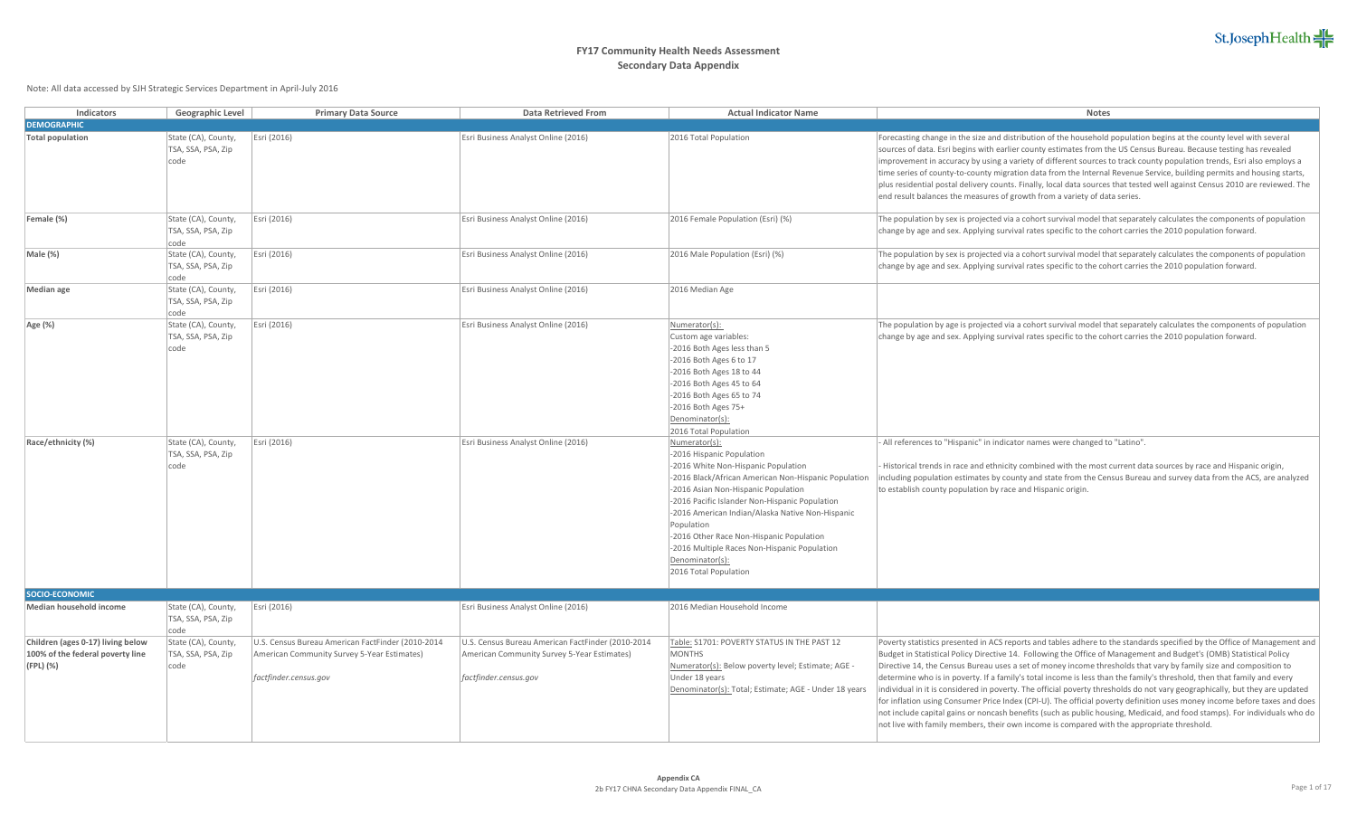| Indicators                                                                         | Geographic Level                                  | <b>Primary Data Source</b>                                                                                                | <b>Data Retrieved From</b>                                                                                                | <b>Actual Indicator Name</b>                                                                                                                                                                                                                                                                                                                                                                                                                 | Notes                                                                                                                                                                                                                                                                                                                                                                                                                                                                                                                                                                                                                                                                                                                                                                                                                                                                                                                                                                                  |
|------------------------------------------------------------------------------------|---------------------------------------------------|---------------------------------------------------------------------------------------------------------------------------|---------------------------------------------------------------------------------------------------------------------------|----------------------------------------------------------------------------------------------------------------------------------------------------------------------------------------------------------------------------------------------------------------------------------------------------------------------------------------------------------------------------------------------------------------------------------------------|----------------------------------------------------------------------------------------------------------------------------------------------------------------------------------------------------------------------------------------------------------------------------------------------------------------------------------------------------------------------------------------------------------------------------------------------------------------------------------------------------------------------------------------------------------------------------------------------------------------------------------------------------------------------------------------------------------------------------------------------------------------------------------------------------------------------------------------------------------------------------------------------------------------------------------------------------------------------------------------|
| <b>DEMOGRAPHIC</b>                                                                 |                                                   |                                                                                                                           |                                                                                                                           |                                                                                                                                                                                                                                                                                                                                                                                                                                              |                                                                                                                                                                                                                                                                                                                                                                                                                                                                                                                                                                                                                                                                                                                                                                                                                                                                                                                                                                                        |
| <b>Total population</b>                                                            | State (CA), County,<br>TSA, SSA, PSA, Zip<br>code | Esri (2016)                                                                                                               | Esri Business Analyst Online (2016)                                                                                       | 2016 Total Population                                                                                                                                                                                                                                                                                                                                                                                                                        | Forecasting change in the size and distribution of the household population begins at the county level with several<br>sources of data. Esri begins with earlier county estimates from the US Census Bureau. Because testing has revealed<br>improvement in accuracy by using a variety of different sources to track county population trends, Esri also employs a<br>time series of county-to-county migration data from the Internal Revenue Service, building permits and housing starts,<br>plus residential postal delivery counts. Finally, local data sources that tested well against Census 2010 are reviewed. The<br>end result balances the measures of growth from a variety of data series.                                                                                                                                                                                                                                                                              |
| Female (%)                                                                         | State (CA), County,<br>TSA, SSA, PSA, Zip<br>code | Esri (2016)                                                                                                               | Esri Business Analyst Online (2016)                                                                                       | 2016 Female Population (Esri) (%)                                                                                                                                                                                                                                                                                                                                                                                                            | The population by sex is projected via a cohort survival model that separately calculates the components of population<br>change by age and sex. Applying survival rates specific to the cohort carries the 2010 population forward.                                                                                                                                                                                                                                                                                                                                                                                                                                                                                                                                                                                                                                                                                                                                                   |
| Male (%)                                                                           | State (CA), County,<br>TSA, SSA, PSA, Zip<br>code | Esri (2016)                                                                                                               | Esri Business Analyst Online (2016)                                                                                       | 2016 Male Population (Esri) (%)                                                                                                                                                                                                                                                                                                                                                                                                              | The population by sex is projected via a cohort survival model that separately calculates the components of population<br>change by age and sex. Applying survival rates specific to the cohort carries the 2010 population forward.                                                                                                                                                                                                                                                                                                                                                                                                                                                                                                                                                                                                                                                                                                                                                   |
| <b>Median</b> age                                                                  | State (CA), County,<br>TSA, SSA, PSA, Zip<br>code | Esri (2016)                                                                                                               | Esri Business Analyst Online (2016)                                                                                       | 2016 Median Age                                                                                                                                                                                                                                                                                                                                                                                                                              |                                                                                                                                                                                                                                                                                                                                                                                                                                                                                                                                                                                                                                                                                                                                                                                                                                                                                                                                                                                        |
| Age (%)                                                                            | State (CA), County,<br>TSA, SSA, PSA, Zip<br>code | Esri (2016)                                                                                                               | Esri Business Analyst Online (2016)                                                                                       | Numerator(s):<br>Custom age variables:<br>-2016 Both Ages less than 5<br>-2016 Both Ages 6 to 17<br>-2016 Both Ages 18 to 44<br>-2016 Both Ages 45 to 64<br>-2016 Both Ages 65 to 74<br>-2016 Both Ages 75+<br>Denominator(s):<br>2016 Total Population                                                                                                                                                                                      | The population by age is projected via a cohort survival model that separately calculates the components of population<br>change by age and sex. Applying survival rates specific to the cohort carries the 2010 population forward.                                                                                                                                                                                                                                                                                                                                                                                                                                                                                                                                                                                                                                                                                                                                                   |
| Race/ethnicity (%)                                                                 | State (CA), County,<br>TSA, SSA, PSA, Zip<br>code | Esri (2016)                                                                                                               | Esri Business Analyst Online (2016)                                                                                       | Numerator(s):<br>-2016 Hispanic Population<br>-2016 White Non-Hispanic Population<br>-2016 Black/African American Non-Hispanic Population<br>-2016 Asian Non-Hispanic Population<br>-2016 Pacific Islander Non-Hispanic Population<br>-2016 American Indian/Alaska Native Non-Hispanic<br>Population<br>-2016 Other Race Non-Hispanic Population<br>-2016 Multiple Races Non-Hispanic Population<br>Denominator(s):<br>2016 Total Population | All references to "Hispanic" in indicator names were changed to "Latino".<br>Historical trends in race and ethnicity combined with the most current data sources by race and Hispanic origin,<br>including population estimates by county and state from the Census Bureau and survey data from the ACS, are analyzed<br>to establish county population by race and Hispanic origin.                                                                                                                                                                                                                                                                                                                                                                                                                                                                                                                                                                                                   |
| SOCIO-ECONOMIC                                                                     |                                                   |                                                                                                                           |                                                                                                                           |                                                                                                                                                                                                                                                                                                                                                                                                                                              |                                                                                                                                                                                                                                                                                                                                                                                                                                                                                                                                                                                                                                                                                                                                                                                                                                                                                                                                                                                        |
| Median household income                                                            | State (CA), County,<br>TSA, SSA, PSA, Zip<br>code | Esri (2016)                                                                                                               | Esri Business Analyst Online (2016)                                                                                       | 2016 Median Household Income                                                                                                                                                                                                                                                                                                                                                                                                                 |                                                                                                                                                                                                                                                                                                                                                                                                                                                                                                                                                                                                                                                                                                                                                                                                                                                                                                                                                                                        |
| Children (ages 0-17) living below<br>100% of the federal poverty line<br>(FPL) (%) | State (CA), County,<br>TSA, SSA, PSA, Zip<br>code | U.S. Census Bureau American FactFinder (2010-2014<br>American Community Survey 5-Year Estimates)<br>factfinder.census.gov | U.S. Census Bureau American FactFinder (2010-2014<br>American Community Survey 5-Year Estimates)<br>factfinder.census.gov | Table: S1701: POVERTY STATUS IN THE PAST 12<br><b>MONTHS</b><br>Numerator(s): Below poverty level; Estimate; AGE -<br>Under 18 years<br>Denominator(s): Total; Estimate; AGE - Under 18 years                                                                                                                                                                                                                                                | Poverty statistics presented in ACS reports and tables adhere to the standards specified by the Office of Management and<br>Budget in Statistical Policy Directive 14. Following the Office of Management and Budget's (OMB) Statistical Policy<br>Directive 14, the Census Bureau uses a set of money income thresholds that vary by family size and composition to<br>determine who is in poverty. If a family's total income is less than the family's threshold, then that family and every<br>individual in it is considered in poverty. The official poverty thresholds do not vary geographically, but they are updated<br>for inflation using Consumer Price Index (CPI-U). The official poverty definition uses money income before taxes and does<br>not include capital gains or noncash benefits (such as public housing, Medicaid, and food stamps). For individuals who do<br>not live with family members, their own income is compared with the appropriate threshold. |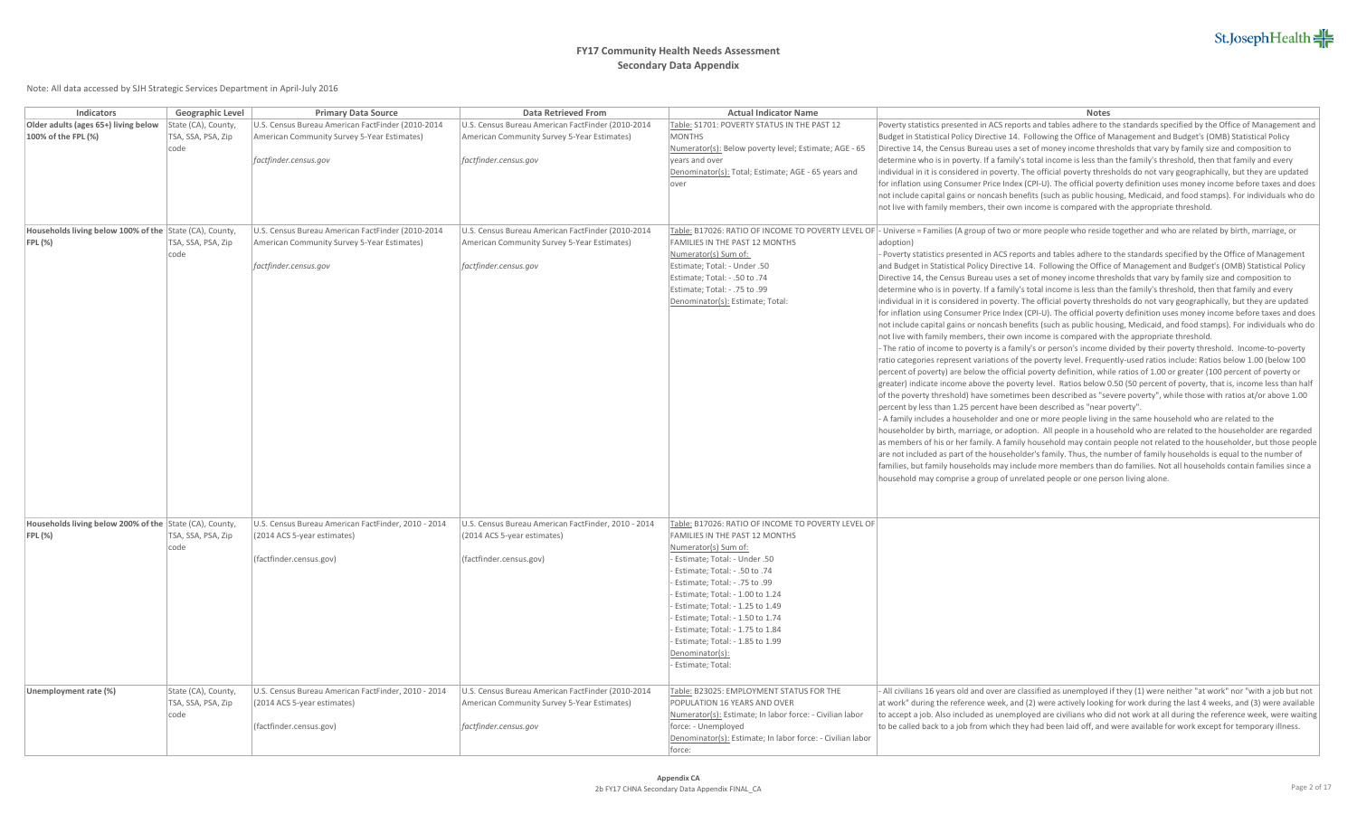| Indicators                                                                | Geographic Level                                  | <b>Primary Data Source</b>                                                                                                | <b>Data Retrieved From</b>                                                                                                | <b>Actual Indicator Name</b>                                                                                                                                                                                                                                                                                                                                                                                                                    | Notes                                                                                                                                                                                                                                                                                                                                                                                                                                                                                                                                                                                                                                                                                                                                                                                                                                                                                                                                                                                                                                                                                                                                                                                                                                                                                                                                                                                                                                                                                                                                                                                                                                                                                                                                                                                                                                                                                                                                                                                                                                                                                                                                                                                                                                                                                                                                                                                                                                                                                                                                                                                                          |
|---------------------------------------------------------------------------|---------------------------------------------------|---------------------------------------------------------------------------------------------------------------------------|---------------------------------------------------------------------------------------------------------------------------|-------------------------------------------------------------------------------------------------------------------------------------------------------------------------------------------------------------------------------------------------------------------------------------------------------------------------------------------------------------------------------------------------------------------------------------------------|----------------------------------------------------------------------------------------------------------------------------------------------------------------------------------------------------------------------------------------------------------------------------------------------------------------------------------------------------------------------------------------------------------------------------------------------------------------------------------------------------------------------------------------------------------------------------------------------------------------------------------------------------------------------------------------------------------------------------------------------------------------------------------------------------------------------------------------------------------------------------------------------------------------------------------------------------------------------------------------------------------------------------------------------------------------------------------------------------------------------------------------------------------------------------------------------------------------------------------------------------------------------------------------------------------------------------------------------------------------------------------------------------------------------------------------------------------------------------------------------------------------------------------------------------------------------------------------------------------------------------------------------------------------------------------------------------------------------------------------------------------------------------------------------------------------------------------------------------------------------------------------------------------------------------------------------------------------------------------------------------------------------------------------------------------------------------------------------------------------------------------------------------------------------------------------------------------------------------------------------------------------------------------------------------------------------------------------------------------------------------------------------------------------------------------------------------------------------------------------------------------------------------------------------------------------------------------------------------------------|
| Older adults (ages 65+) living below<br>100% of the FPL (%)               | State (CA), County,<br>TSA, SSA, PSA, Zip<br>code | U.S. Census Bureau American FactFinder (2010-2014<br>American Community Survey 5-Year Estimates)<br>factfinder.census.gov | U.S. Census Bureau American FactFinder (2010-2014<br>American Community Survey 5-Year Estimates)<br>factfinder.census.gov | Table: S1701: POVERTY STATUS IN THE PAST 12<br><b>MONTHS</b><br>Numerator(s): Below poverty level; Estimate; AGE - 65<br>vears and over<br>Denominator(s): Total; Estimate; AGE - 65 years and<br>lover                                                                                                                                                                                                                                         | Poverty statistics presented in ACS reports and tables adhere to the standards specified by the Office of Management and<br>Budget in Statistical Policy Directive 14. Following the Office of Management and Budget's (OMB) Statistical Policy<br>Directive 14, the Census Bureau uses a set of money income thresholds that vary by family size and composition to<br>determine who is in poverty. If a family's total income is less than the family's threshold, then that family and every<br>individual in it is considered in poverty. The official poverty thresholds do not vary geographically, but they are updated<br>for inflation using Consumer Price Index (CPI-U). The official poverty definition uses money income before taxes and does<br>not include capital gains or noncash benefits (such as public housing, Medicaid, and food stamps). For individuals who do<br>not live with family members, their own income is compared with the appropriate threshold.                                                                                                                                                                                                                                                                                                                                                                                                                                                                                                                                                                                                                                                                                                                                                                                                                                                                                                                                                                                                                                                                                                                                                                                                                                                                                                                                                                                                                                                                                                                                                                                                                         |
| Households living below 100% of the State (CA), County,<br>$ FPL(\%) $    | TSA, SSA, PSA, Zip<br>code                        | U.S. Census Bureau American FactFinder (2010-2014<br>American Community Survey 5-Year Estimates)<br>factfinder.census.gov | U.S. Census Bureau American FactFinder (2010-2014<br>American Community Survey 5-Year Estimates)<br>factfinder.census.gov | FAMILIES IN THE PAST 12 MONTHS<br>Numerator(s) Sum of:<br>Estimate; Total: - Under .50<br>Estimate; Total: - .50 to .74<br>Stimate; Total: - .75 to .99<br>Denominator(s): Estimate; Total:                                                                                                                                                                                                                                                     | Table: B17026: RATIO OF INCOME TO POVERTY LEVEL OF - Universe = Families (A group of two or more people who reside together and who are related by birth, marriage, or<br>adoption)<br>Poverty statistics presented in ACS reports and tables adhere to the standards specified by the Office of Management<br>and Budget in Statistical Policy Directive 14. Following the Office of Management and Budget's (OMB) Statistical Policy<br>Directive 14, the Census Bureau uses a set of money income thresholds that vary by family size and composition to<br>determine who is in poverty. If a family's total income is less than the family's threshold, then that family and every<br>individual in it is considered in poverty. The official poverty thresholds do not vary geographically, but they are updated<br>for inflation using Consumer Price Index (CPI-U). The official poverty definition uses money income before taxes and does<br>not include capital gains or noncash benefits (such as public housing, Medicaid, and food stamps). For individuals who do<br>not live with family members, their own income is compared with the appropriate threshold.<br>- The ratio of income to poverty is a family's or person's income divided by their poverty threshold. Income-to-poverty<br>ratio categories represent variations of the poverty level. Frequently-used ratios include: Ratios below 1.00 (below 100<br>percent of poverty) are below the official poverty definition, while ratios of 1.00 or greater (100 percent of poverty or<br>greater) indicate income above the poverty level. Ratios below 0.50 (50 percent of poverty, that is, income less than half<br>of the poverty threshold) have sometimes been described as "severe poverty", while those with ratios at/or above 1.00<br>percent by less than 1.25 percent have been described as "near poverty".<br>- A family includes a householder and one or more people living in the same household who are related to the<br>householder by birth, marriage, or adoption. All people in a household who are related to the householder are regarded<br>as members of his or her family. A family household may contain people not related to the householder, but those people<br>are not included as part of the householder's family. Thus, the number of family households is equal to the number of<br>families, but family households may include more members than do families. Not all households contain families since a<br>household may comprise a group of unrelated people or one person living alone. |
| Households living below 200% of the State (CA), County,<br><b>FPL (%)</b> | TSA, SSA, PSA, Zip<br>code                        | U.S. Census Bureau American FactFinder, 2010 - 2014<br>(2014 ACS 5-year estimates)<br>(factfinder.census.gov)             | U.S. Census Bureau American FactFinder, 2010 - 2014<br>(2014 ACS 5-year estimates)<br>(factfinder.census.gov)             | Table: B17026: RATIO OF INCOME TO POVERTY LEVEL OF<br><b>FAMILIES IN THE PAST 12 MONTHS</b><br>Numerator(s) Sum of:<br>Estimate; Total: - Under .50<br>- Estimate; Total: - .50 to .74<br>99. Estimate; Total: - .75 to<br>Estimate; Total: - 1.00 to 1.24<br>Estimate; Total: - 1.25 to 1.49<br>Estimate; Total: - 1.50 to 1.74<br>Estimate; Total: - 1.75 to 1.84<br>Estimate; Total: - 1.85 to 1.99<br>Denominator(s):<br>- Estimate; Total: |                                                                                                                                                                                                                                                                                                                                                                                                                                                                                                                                                                                                                                                                                                                                                                                                                                                                                                                                                                                                                                                                                                                                                                                                                                                                                                                                                                                                                                                                                                                                                                                                                                                                                                                                                                                                                                                                                                                                                                                                                                                                                                                                                                                                                                                                                                                                                                                                                                                                                                                                                                                                                |
| Unemployment rate (%)                                                     | State (CA), County,<br>TSA, SSA, PSA, Zip<br>code | U.S. Census Bureau American FactFinder, 2010 - 2014<br>(2014 ACS 5-year estimates)<br>(factfinder.census.gov)             | U.S. Census Bureau American FactFinder (2010-2014<br>American Community Survey 5-Year Estimates)<br>factfinder.census.gov | Table: B23025: EMPLOYMENT STATUS FOR THE<br>POPULATION 16 YEARS AND OVER<br>Numerator(s): Estimate; In labor force: - Civilian labor<br>force: - Unemployed<br>Denominator(s): Estimate; In labor force: - Civilian labor<br>force:                                                                                                                                                                                                             | All civilians 16 years old and over are classified as unemployed if they (1) were neither "at work" nor "with a job but not<br>at work" during the reference week, and (2) were actively looking for work during the last 4 weeks, and (3) were available<br>to accept a job. Also included as unemployed are civilians who did not work at all during the reference week, were waiting<br>to be called back to a job from which they had been laid off, and were available for work except for temporary illness.                                                                                                                                                                                                                                                                                                                                                                                                                                                                                                                                                                                                                                                                                                                                                                                                                                                                                                                                                                                                                                                                                                                                                                                                                                                                                                                                                                                                                                                                                                                                                                                                                                                                                                                                                                                                                                                                                                                                                                                                                                                                                             |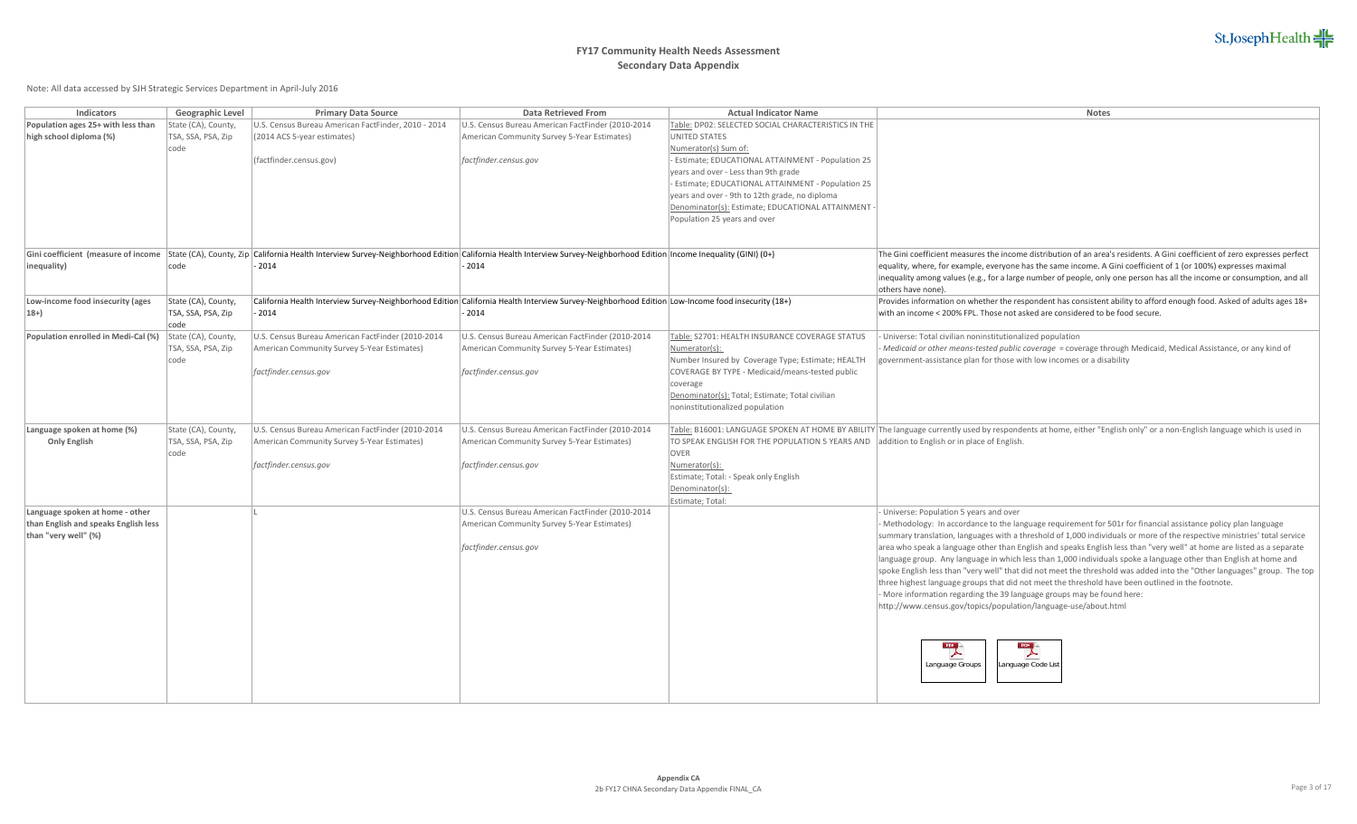# **FY17 Community Health Needs Assessment Secondary Data Appendix**

| Indicators                                         | Geographic Level                          | <b>Primary Data Source</b>                                                                                                                                            | Data Retrieved From                                                                                                                              | <b>Actual Indicator Name</b>                                                                | <b>Notes</b>                                                                                                                                                                                                                                |
|----------------------------------------------------|-------------------------------------------|-----------------------------------------------------------------------------------------------------------------------------------------------------------------------|--------------------------------------------------------------------------------------------------------------------------------------------------|---------------------------------------------------------------------------------------------|---------------------------------------------------------------------------------------------------------------------------------------------------------------------------------------------------------------------------------------------|
| Population ages 25+ with less than                 | State (CA), County,                       | U.S. Census Bureau American FactFinder, 2010 - 2014                                                                                                                   | U.S. Census Bureau American FactFinder (2010-2014                                                                                                | Table: DP02: SELECTED SOCIAL CHARACTERISTICS IN THE                                         |                                                                                                                                                                                                                                             |
| high school diploma (%)                            | TSA, SSA, PSA, Zip                        | (2014 ACS 5-year estimates)                                                                                                                                           | American Community Survey 5-Year Estimates)                                                                                                      | <b>UNITED STATES</b>                                                                        |                                                                                                                                                                                                                                             |
|                                                    | code                                      |                                                                                                                                                                       |                                                                                                                                                  | Numerator(s) Sum of:                                                                        |                                                                                                                                                                                                                                             |
|                                                    |                                           | (factfinder.census.gov)                                                                                                                                               | factfinder.census.gov                                                                                                                            | Estimate; EDUCATIONAL ATTAINMENT - Population 25                                            |                                                                                                                                                                                                                                             |
|                                                    |                                           |                                                                                                                                                                       |                                                                                                                                                  | years and over - Less than 9th grade                                                        |                                                                                                                                                                                                                                             |
|                                                    |                                           |                                                                                                                                                                       |                                                                                                                                                  | Estimate; EDUCATIONAL ATTAINMENT - Population 25                                            |                                                                                                                                                                                                                                             |
|                                                    |                                           |                                                                                                                                                                       |                                                                                                                                                  | years and over - 9th to 12th grade, no diploma                                              |                                                                                                                                                                                                                                             |
|                                                    |                                           |                                                                                                                                                                       |                                                                                                                                                  | Denominator(s): Estimate; EDUCATIONAL ATTAINMENT                                            |                                                                                                                                                                                                                                             |
|                                                    |                                           |                                                                                                                                                                       |                                                                                                                                                  | Population 25 years and over                                                                |                                                                                                                                                                                                                                             |
|                                                    |                                           |                                                                                                                                                                       |                                                                                                                                                  |                                                                                             |                                                                                                                                                                                                                                             |
| Gini coefficient (measure of income                |                                           | State (CA), County, Zip California Health Interview Survey-Neighborhood Edition California Health Interview Survey-Neighborhood Edition Income Inequality (GINI) (0+) |                                                                                                                                                  |                                                                                             | The Gini coefficient measures the income distribution of an area's residents. A Gini coefficient of zero expresses perfect                                                                                                                  |
| inequality)                                        | code                                      | 2014                                                                                                                                                                  | $-2014$                                                                                                                                          |                                                                                             | equality, where, for example, everyone has the same income. A Gini coefficient of 1 (or 100%) expresses maximal                                                                                                                             |
|                                                    |                                           |                                                                                                                                                                       |                                                                                                                                                  |                                                                                             | inequality among values (e.g., for a large number of people, only one person has all the income or consumption, and all                                                                                                                     |
|                                                    |                                           |                                                                                                                                                                       |                                                                                                                                                  |                                                                                             | lothers have none)                                                                                                                                                                                                                          |
| Low-income food insecurity (ages                   | State (CA), County,                       |                                                                                                                                                                       | California Health Interview Survey-Neighborhood Edition California Health Interview Survey-Neighborhood Edition Low-Income food insecurity (18+) |                                                                                             | Provides information on whether the respondent has consistent ability to afford enough food. Asked of adults ages 18+                                                                                                                       |
| $18+$                                              | TSA, SSA, PSA, Zip                        | 2014                                                                                                                                                                  | 2014                                                                                                                                             |                                                                                             | with an income < 200% FPL. Those not asked are considered to be food secure.                                                                                                                                                                |
| Population enrolled in Medi-Cal (%)                | code<br>State (CA), County,               | U.S. Census Bureau American FactFinder (2010-2014                                                                                                                     | U.S. Census Bureau American FactFinder (2010-2014                                                                                                | Table: S2701: HEALTH INSURANCE COVERAGE STATUS                                              | Universe: Total civilian noninstitutionalized population                                                                                                                                                                                    |
|                                                    | TSA, SSA, PSA, Zip                        | American Community Survey 5-Year Estimates)                                                                                                                           | American Community Survey 5-Year Estimates)                                                                                                      | Numerator(s):                                                                               | Medicaid or other means-tested public coverage = coverage through Medicaid, Medical Assistance, or any kind of                                                                                                                              |
|                                                    | code                                      |                                                                                                                                                                       |                                                                                                                                                  | Number Insured by Coverage Type; Estimate; HEALTH                                           | government-assistance plan for those with low incomes or a disability                                                                                                                                                                       |
|                                                    |                                           | factfinder.census.gov                                                                                                                                                 | factfinder.census.gov                                                                                                                            | COVERAGE BY TYPE - Medicaid/means-tested public                                             |                                                                                                                                                                                                                                             |
|                                                    |                                           |                                                                                                                                                                       |                                                                                                                                                  | coverage                                                                                    |                                                                                                                                                                                                                                             |
|                                                    |                                           |                                                                                                                                                                       |                                                                                                                                                  | Denominator(s): Total; Estimate; Total civilian                                             |                                                                                                                                                                                                                                             |
|                                                    |                                           |                                                                                                                                                                       |                                                                                                                                                  | noninstitutionalized population                                                             |                                                                                                                                                                                                                                             |
|                                                    |                                           |                                                                                                                                                                       |                                                                                                                                                  |                                                                                             |                                                                                                                                                                                                                                             |
| Language spoken at home (%)<br><b>Only English</b> | State (CA), County,<br>TSA, SSA, PSA, Zip | U.S. Census Bureau American FactFinder (2010-2014<br>American Community Survey 5-Year Estimates)                                                                      | U.S. Census Bureau American FactFinder (2010-2014<br>American Community Survey 5-Year Estimates)                                                 | TO SPEAK ENGLISH FOR THE POPULATION 5 YEARS AND addition to English or in place of English. | Table: B16001: LANGUAGE SPOKEN AT HOME BY ABILITY The language currently used by respondents at home, either "English only" or a non-English language which is used in                                                                      |
|                                                    | code                                      |                                                                                                                                                                       |                                                                                                                                                  | OVER                                                                                        |                                                                                                                                                                                                                                             |
|                                                    |                                           | factfinder.census.gov                                                                                                                                                 | factfinder.census.gov                                                                                                                            | Numerator(s):                                                                               |                                                                                                                                                                                                                                             |
|                                                    |                                           |                                                                                                                                                                       |                                                                                                                                                  | Estimate; Total: - Speak only English                                                       |                                                                                                                                                                                                                                             |
|                                                    |                                           |                                                                                                                                                                       |                                                                                                                                                  | Denominator(s):                                                                             |                                                                                                                                                                                                                                             |
|                                                    |                                           |                                                                                                                                                                       |                                                                                                                                                  | Estimate; Total:                                                                            |                                                                                                                                                                                                                                             |
| Language spoken at home - other                    |                                           |                                                                                                                                                                       | U.S. Census Bureau American FactFinder (2010-2014                                                                                                |                                                                                             | Universe: Population 5 years and over                                                                                                                                                                                                       |
| than English and speaks English less               |                                           |                                                                                                                                                                       | American Community Survey 5-Year Estimates)                                                                                                      |                                                                                             | Methodology: In accordance to the language requirement for 501r for financial assistance policy plan language                                                                                                                               |
| than "very well" (%)                               |                                           |                                                                                                                                                                       |                                                                                                                                                  |                                                                                             | summary translation, languages with a threshold of 1,000 individuals or more of the respective ministries' total service                                                                                                                    |
|                                                    |                                           |                                                                                                                                                                       | factfinder.census.gov                                                                                                                            |                                                                                             | area who speak a language other than English and speaks English less than "very well" at home are listed as a separate<br>language group. Any language in which less than 1,000 individuals spoke a language other than English at home and |
|                                                    |                                           |                                                                                                                                                                       |                                                                                                                                                  |                                                                                             | spoke English less than "very well" that did not meet the threshold was added into the "Other languages" group. The top                                                                                                                     |
|                                                    |                                           |                                                                                                                                                                       |                                                                                                                                                  |                                                                                             | three highest language groups that did not meet the threshold have been outlined in the footnote.                                                                                                                                           |
|                                                    |                                           |                                                                                                                                                                       |                                                                                                                                                  |                                                                                             | More information regarding the 39 language groups may be found here:                                                                                                                                                                        |
|                                                    |                                           |                                                                                                                                                                       |                                                                                                                                                  |                                                                                             | http://www.census.gov/topics/population/language-use/about.html                                                                                                                                                                             |
|                                                    |                                           |                                                                                                                                                                       |                                                                                                                                                  |                                                                                             |                                                                                                                                                                                                                                             |
|                                                    |                                           |                                                                                                                                                                       |                                                                                                                                                  |                                                                                             |                                                                                                                                                                                                                                             |
|                                                    |                                           |                                                                                                                                                                       |                                                                                                                                                  |                                                                                             | $\mathbb{R}$<br><b>POF</b>                                                                                                                                                                                                                  |
|                                                    |                                           |                                                                                                                                                                       |                                                                                                                                                  |                                                                                             |                                                                                                                                                                                                                                             |
|                                                    |                                           |                                                                                                                                                                       |                                                                                                                                                  |                                                                                             | Language Groups<br>Language Code List                                                                                                                                                                                                       |
|                                                    |                                           |                                                                                                                                                                       |                                                                                                                                                  |                                                                                             |                                                                                                                                                                                                                                             |
|                                                    |                                           |                                                                                                                                                                       |                                                                                                                                                  |                                                                                             |                                                                                                                                                                                                                                             |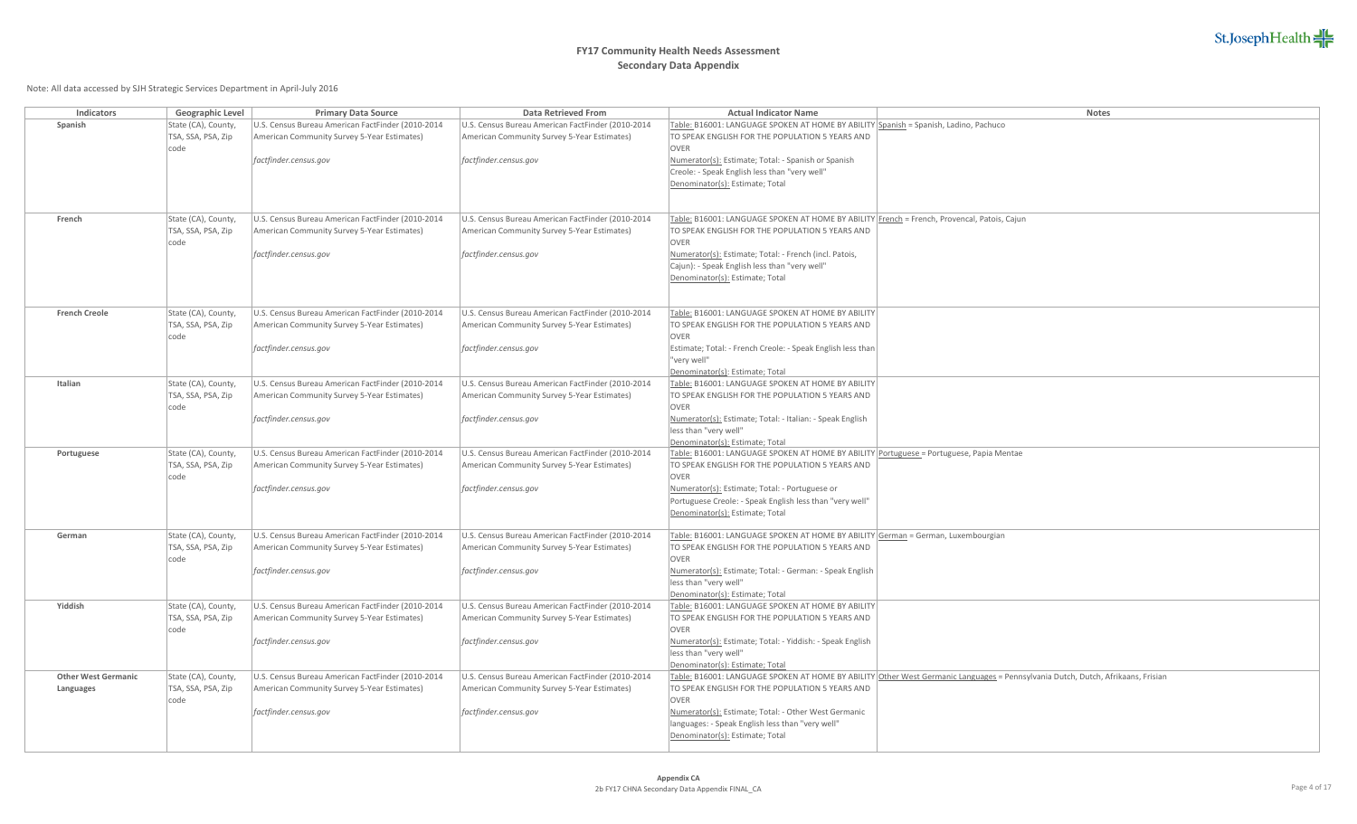

| Indicators                 | Geographic Level                          | <b>Primary Data Source</b>                                                                       | Data Retrieved From                                                                              | <b>Actual Indicator Name</b>                                                                                                               | Notes                                                                                                                           |
|----------------------------|-------------------------------------------|--------------------------------------------------------------------------------------------------|--------------------------------------------------------------------------------------------------|--------------------------------------------------------------------------------------------------------------------------------------------|---------------------------------------------------------------------------------------------------------------------------------|
| Spanish                    | State (CA), County,                       | U.S. Census Bureau American FactFinder (2010-2014                                                | U.S. Census Bureau American FactFinder (2010-2014                                                | Table: B16001: LANGUAGE SPOKEN AT HOME BY ABILITY Spanish = Spanish, Ladino, Pachuco                                                       |                                                                                                                                 |
|                            | TSA, SSA, PSA, Zip                        | American Community Survey 5-Year Estimates)                                                      | American Community Survey 5-Year Estimates)                                                      | TO SPEAK ENGLISH FOR THE POPULATION 5 YEARS AND                                                                                            |                                                                                                                                 |
|                            | code                                      |                                                                                                  |                                                                                                  | OVER                                                                                                                                       |                                                                                                                                 |
|                            |                                           | factfinder.census.gov                                                                            | factfinder.census.gov                                                                            | Numerator(s): Estimate; Total: - Spanish or Spanish                                                                                        |                                                                                                                                 |
|                            |                                           |                                                                                                  |                                                                                                  | Creole: - Speak English less than "very well"                                                                                              |                                                                                                                                 |
|                            |                                           |                                                                                                  |                                                                                                  | Denominator(s): Estimate; Total                                                                                                            |                                                                                                                                 |
|                            |                                           |                                                                                                  |                                                                                                  |                                                                                                                                            |                                                                                                                                 |
| French                     | State (CA), County,                       | U.S. Census Bureau American FactFinder (2010-2014                                                | U.S. Census Bureau American FactFinder (2010-2014                                                | Table: B16001: LANGUAGE SPOKEN AT HOME BY ABILITY French = French, Provencal, Patois, Cajun                                                |                                                                                                                                 |
|                            | TSA, SSA, PSA, Zip                        | American Community Survey 5-Year Estimates)                                                      | American Community Survey 5-Year Estimates)                                                      | TO SPEAK ENGLISH FOR THE POPULATION 5 YEARS AND                                                                                            |                                                                                                                                 |
|                            | code                                      |                                                                                                  |                                                                                                  | OVER                                                                                                                                       |                                                                                                                                 |
|                            |                                           | factfinder.census.gov                                                                            | factfinder.census.gov                                                                            | Numerator(s): Estimate; Total: - French (incl. Patois,                                                                                     |                                                                                                                                 |
|                            |                                           |                                                                                                  |                                                                                                  | Cajun): - Speak English less than "very well"                                                                                              |                                                                                                                                 |
|                            |                                           |                                                                                                  |                                                                                                  | Denominator(s): Estimate; Total                                                                                                            |                                                                                                                                 |
|                            |                                           |                                                                                                  |                                                                                                  |                                                                                                                                            |                                                                                                                                 |
| <b>French Creole</b>       | State (CA), County,                       | U.S. Census Bureau American FactFinder (2010-2014                                                | U.S. Census Bureau American FactFinder (2010-2014                                                | Table: B16001: LANGUAGE SPOKEN AT HOME BY ABILITY                                                                                          |                                                                                                                                 |
|                            | TSA, SSA, PSA, Zip                        | American Community Survey 5-Year Estimates)                                                      | American Community Survey 5-Year Estimates)                                                      | TO SPEAK ENGLISH FOR THE POPULATION 5 YEARS AND                                                                                            |                                                                                                                                 |
|                            | code                                      |                                                                                                  |                                                                                                  | OVER                                                                                                                                       |                                                                                                                                 |
|                            |                                           | factfinder.census.gov                                                                            | factfinder.census.gov                                                                            | Estimate; Total: - French Creole: - Speak English less than                                                                                |                                                                                                                                 |
|                            |                                           |                                                                                                  |                                                                                                  | "very well"                                                                                                                                |                                                                                                                                 |
|                            |                                           |                                                                                                  |                                                                                                  | Denominator(s): Estimate; Total                                                                                                            |                                                                                                                                 |
| Italian                    | State (CA), County,                       | U.S. Census Bureau American FactFinder (2010-2014                                                | U.S. Census Bureau American FactFinder (2010-2014                                                | Table: B16001: LANGUAGE SPOKEN AT HOME BY ABILITY                                                                                          |                                                                                                                                 |
|                            | TSA, SSA, PSA, Zip                        | American Community Survey 5-Year Estimates)                                                      | American Community Survey 5-Year Estimates)                                                      | TO SPEAK ENGLISH FOR THE POPULATION 5 YEARS AND                                                                                            |                                                                                                                                 |
|                            | code                                      |                                                                                                  |                                                                                                  | <b>OVER</b>                                                                                                                                |                                                                                                                                 |
|                            |                                           | factfinder.census.gov                                                                            | factfinder.census.gov                                                                            | Numerator(s): Estimate; Total: - Italian: - Speak English                                                                                  |                                                                                                                                 |
|                            |                                           |                                                                                                  |                                                                                                  | less than "very well"                                                                                                                      |                                                                                                                                 |
|                            |                                           |                                                                                                  |                                                                                                  | Denominator(s): Estimate; Total                                                                                                            |                                                                                                                                 |
| Portuguese                 | State (CA), County,<br>TSA, SSA, PSA, Zip | U.S. Census Bureau American FactFinder (2010-2014<br>American Community Survey 5-Year Estimates) | U.S. Census Bureau American FactFinder (2010-2014<br>American Community Survey 5-Year Estimates) | Table: B16001: LANGUAGE SPOKEN AT HOME BY ABILITY Portuguese = Portuguese, Papia Mentae<br>TO SPEAK ENGLISH FOR THE POPULATION 5 YEARS AND |                                                                                                                                 |
|                            | code                                      |                                                                                                  |                                                                                                  | OVER                                                                                                                                       |                                                                                                                                 |
|                            |                                           | factfinder.census.gov                                                                            | factfinder.census.gov                                                                            | Numerator(s): Estimate; Total: - Portuguese or                                                                                             |                                                                                                                                 |
|                            |                                           |                                                                                                  |                                                                                                  | Portuguese Creole: - Speak English less than "very well"                                                                                   |                                                                                                                                 |
|                            |                                           |                                                                                                  |                                                                                                  | Denominator(s): Estimate; Total                                                                                                            |                                                                                                                                 |
|                            |                                           |                                                                                                  |                                                                                                  |                                                                                                                                            |                                                                                                                                 |
| German                     | State (CA), County,                       | U.S. Census Bureau American FactFinder (2010-2014                                                | U.S. Census Bureau American FactFinder (2010-2014                                                | Table: B16001: LANGUAGE SPOKEN AT HOME BY ABILITY German = German, Luxembourgian                                                           |                                                                                                                                 |
|                            | TSA, SSA, PSA, Zip<br>code                | American Community Survey 5-Year Estimates)                                                      | American Community Survey 5-Year Estimates)                                                      | TO SPEAK ENGLISH FOR THE POPULATION 5 YEARS AND<br>OVER                                                                                    |                                                                                                                                 |
|                            |                                           | factfinder.census.gov                                                                            | factfinder.census.gov                                                                            | Numerator(s): Estimate; Total: - German: - Speak English                                                                                   |                                                                                                                                 |
|                            |                                           |                                                                                                  |                                                                                                  | less than "very well"                                                                                                                      |                                                                                                                                 |
|                            |                                           |                                                                                                  |                                                                                                  | Denominator(s): Estimate; Total                                                                                                            |                                                                                                                                 |
| Yiddish                    | State (CA), County,                       | U.S. Census Bureau American FactFinder (2010-2014                                                | U.S. Census Bureau American FactFinder (2010-2014                                                | Table: B16001: LANGUAGE SPOKEN AT HOME BY ABILITY                                                                                          |                                                                                                                                 |
|                            | TSA, SSA, PSA, Zip                        | American Community Survey 5-Year Estimates)                                                      | American Community Survey 5-Year Estimates)                                                      | TO SPEAK ENGLISH FOR THE POPULATION 5 YEARS AND                                                                                            |                                                                                                                                 |
|                            | code                                      |                                                                                                  |                                                                                                  | <b>OVER</b>                                                                                                                                |                                                                                                                                 |
|                            |                                           | factfinder.census.gov                                                                            | factfinder.census.gov                                                                            | Numerator(s): Estimate; Total: - Yiddish: - Speak English                                                                                  |                                                                                                                                 |
|                            |                                           |                                                                                                  |                                                                                                  | less than "very well"                                                                                                                      |                                                                                                                                 |
| <b>Other West Germanic</b> |                                           | U.S. Census Bureau American FactFinder (2010-2014                                                | U.S. Census Bureau American FactFinder (2010-2014                                                | Denominator(s): Estimate; Total                                                                                                            |                                                                                                                                 |
| Languages                  | State (CA), County,<br>TSA, SSA, PSA, Zip | American Community Survey 5-Year Estimates)                                                      | American Community Survey 5-Year Estimates)                                                      | TO SPEAK ENGLISH FOR THE POPULATION 5 YEARS AND                                                                                            | Table: B16001: LANGUAGE SPOKEN AT HOME BY ABILITY Other West Germanic Languages = Pennsylvania Dutch, Dutch, Afrikaans, Frisian |
|                            | code                                      |                                                                                                  |                                                                                                  | <b>OVER</b>                                                                                                                                |                                                                                                                                 |
|                            |                                           | factfinder.census.gov                                                                            | factfinder.census.gov                                                                            | Numerator(s): Estimate; Total: - Other West Germanic                                                                                       |                                                                                                                                 |
|                            |                                           |                                                                                                  |                                                                                                  | languages: - Speak English less than "very well"                                                                                           |                                                                                                                                 |
|                            |                                           |                                                                                                  |                                                                                                  | Denominator(s): Estimate; Total                                                                                                            |                                                                                                                                 |
|                            |                                           |                                                                                                  |                                                                                                  |                                                                                                                                            |                                                                                                                                 |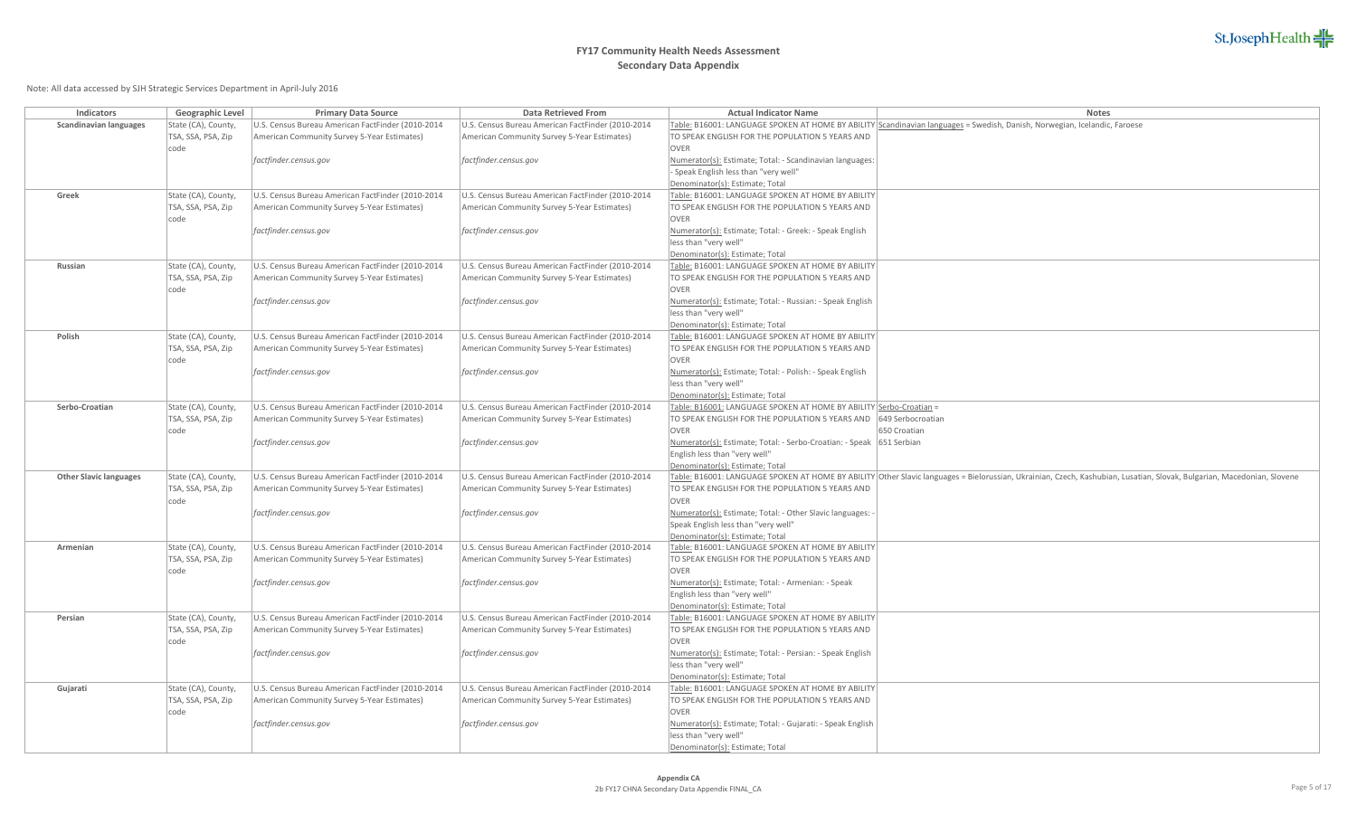

| Indicators                    | Geographic Level                          | <b>Primary Data Source</b>                                                                       | <b>Data Retrieved From</b>                                                                       | <b>Actual Indicator Name</b>                                                                          | Notes                                                                                                                                                                  |
|-------------------------------|-------------------------------------------|--------------------------------------------------------------------------------------------------|--------------------------------------------------------------------------------------------------|-------------------------------------------------------------------------------------------------------|------------------------------------------------------------------------------------------------------------------------------------------------------------------------|
| <b>Scandinavian languages</b> | State (CA), County,                       | U.S. Census Bureau American FactFinder (2010-2014                                                | U.S. Census Bureau American FactFinder (2010-2014                                                |                                                                                                       | Table: B16001: LANGUAGE SPOKEN AT HOME BY ABILITY Scandinavian languages = Swedish, Danish, Norwegian, Icelandic, Faroese                                              |
|                               | TSA, SSA, PSA, Zip                        | American Community Survey 5-Year Estimates)                                                      | American Community Survey 5-Year Estimates)                                                      | TO SPEAK ENGLISH FOR THE POPULATION 5 YEARS AND                                                       |                                                                                                                                                                        |
|                               | code                                      |                                                                                                  |                                                                                                  | <b>OVER</b>                                                                                           |                                                                                                                                                                        |
|                               |                                           | factfinder.census.gov                                                                            | factfinder.census.gov                                                                            | Numerator(s): Estimate; Total: - Scandinavian languages:                                              |                                                                                                                                                                        |
|                               |                                           |                                                                                                  |                                                                                                  | Speak English less than "very well"                                                                   |                                                                                                                                                                        |
|                               |                                           |                                                                                                  |                                                                                                  | Denominator(s): Estimate; Total                                                                       |                                                                                                                                                                        |
| Greek                         | State (CA), County,                       | U.S. Census Bureau American FactFinder (2010-2014                                                | U.S. Census Bureau American FactFinder (2010-2014                                                | Table: B16001: LANGUAGE SPOKEN AT HOME BY ABILITY                                                     |                                                                                                                                                                        |
|                               | TSA, SSA, PSA, Zip<br>code                | American Community Survey 5-Year Estimates)                                                      | American Community Survey 5-Year Estimates)                                                      | TO SPEAK ENGLISH FOR THE POPULATION 5 YEARS AND<br><b>OVER</b>                                        |                                                                                                                                                                        |
|                               |                                           | factfinder.census.gov                                                                            | factfinder.census.gov                                                                            | Numerator(s): Estimate; Total: - Greek: - Speak English                                               |                                                                                                                                                                        |
|                               |                                           |                                                                                                  |                                                                                                  | less than "very well"                                                                                 |                                                                                                                                                                        |
|                               |                                           |                                                                                                  |                                                                                                  | Denominator(s): Estimate; Total                                                                       |                                                                                                                                                                        |
| Russian                       | State (CA), County,                       | U.S. Census Bureau American FactFinder (2010-2014                                                | U.S. Census Bureau American FactFinder (2010-2014                                                | Table: B16001: LANGUAGE SPOKEN AT HOME BY ABILITY                                                     |                                                                                                                                                                        |
|                               | TSA, SSA, PSA, Zip                        | American Community Survey 5-Year Estimates)                                                      | American Community Survey 5-Year Estimates)                                                      | TO SPEAK ENGLISH FOR THE POPULATION 5 YEARS AND                                                       |                                                                                                                                                                        |
|                               | code                                      |                                                                                                  |                                                                                                  | <b>OVER</b>                                                                                           |                                                                                                                                                                        |
|                               |                                           | factfinder.census.gov                                                                            | factfinder.census.gov                                                                            | Numerator(s): Estimate; Total: - Russian: - Speak English                                             |                                                                                                                                                                        |
|                               |                                           |                                                                                                  |                                                                                                  | less than "very well"                                                                                 |                                                                                                                                                                        |
|                               |                                           |                                                                                                  |                                                                                                  | Denominator(s): Estimate; Total                                                                       |                                                                                                                                                                        |
| Polish                        | State (CA), County,                       | U.S. Census Bureau American FactFinder (2010-2014                                                | U.S. Census Bureau American FactFinder (2010-2014                                                | Table: B16001: LANGUAGE SPOKEN AT HOME BY ABILITY                                                     |                                                                                                                                                                        |
|                               | TSA, SSA, PSA, Zip                        | American Community Survey 5-Year Estimates)                                                      | American Community Survey 5-Year Estimates)                                                      | TO SPEAK ENGLISH FOR THE POPULATION 5 YEARS AND                                                       |                                                                                                                                                                        |
|                               | code                                      |                                                                                                  |                                                                                                  | <b>OVER</b>                                                                                           |                                                                                                                                                                        |
|                               |                                           | factfinder.census.gov                                                                            | factfinder.census.gov                                                                            | Numerator(s): Estimate; Total: - Polish: - Speak English                                              |                                                                                                                                                                        |
|                               |                                           |                                                                                                  |                                                                                                  | less than "very well"                                                                                 |                                                                                                                                                                        |
| Serbo-Croatian                | State (CA), County,                       | U.S. Census Bureau American FactFinder (2010-2014                                                | U.S. Census Bureau American FactFinder (2010-2014                                                | Denominator(s): Estimate; Total<br>Table: B16001: LANGUAGE SPOKEN AT HOME BY ABILITY Serbo-Croatian = |                                                                                                                                                                        |
|                               | TSA, SSA, PSA, Zip                        | American Community Survey 5-Year Estimates)                                                      | American Community Survey 5-Year Estimates)                                                      | TO SPEAK ENGLISH FOR THE POPULATION 5 YEARS AND                                                       | 649 Serbocroatian                                                                                                                                                      |
|                               | code                                      |                                                                                                  |                                                                                                  | OVER                                                                                                  | 650 Croatian                                                                                                                                                           |
|                               |                                           | factfinder.census.gov                                                                            | factfinder.census.gov                                                                            | Numerator(s): Estimate; Total: - Serbo-Croatian: - Speak   651 Serbian                                |                                                                                                                                                                        |
|                               |                                           |                                                                                                  |                                                                                                  | English less than "very well"                                                                         |                                                                                                                                                                        |
|                               |                                           |                                                                                                  |                                                                                                  | Denominator(s): Estimate; Total                                                                       |                                                                                                                                                                        |
| <b>Other Slavic languages</b> | State (CA), County,                       | U.S. Census Bureau American FactFinder (2010-2014                                                | U.S. Census Bureau American FactFinder (2010-2014                                                |                                                                                                       | Table: B16001: LANGUAGE SPOKEN AT HOME BY ABILITY Other Slavic languages = Bielorussian, Ukrainian, Czech, Kashubian, Lusatian, Slovak, Bulgarian, Macedonian, Slovene |
|                               | TSA, SSA, PSA, Zip                        | American Community Survey 5-Year Estimates)                                                      | American Community Survey 5-Year Estimates)                                                      | TO SPEAK ENGLISH FOR THE POPULATION 5 YEARS AND                                                       |                                                                                                                                                                        |
|                               | code                                      |                                                                                                  |                                                                                                  | OVER                                                                                                  |                                                                                                                                                                        |
|                               |                                           | factfinder.census.gov                                                                            | factfinder.census.gov                                                                            | Numerator(s): Estimate; Total: - Other Slavic languages:                                              |                                                                                                                                                                        |
|                               |                                           |                                                                                                  |                                                                                                  | Speak English less than "very well"                                                                   |                                                                                                                                                                        |
| Armenian                      |                                           | U.S. Census Bureau American FactFinder (2010-2014                                                | U.S. Census Bureau American FactFinder (2010-2014                                                | Denominator(s): Estimate; Total<br>Table: B16001: LANGUAGE SPOKEN AT HOME BY ABILITY                  |                                                                                                                                                                        |
|                               | State (CA), County,<br>TSA, SSA, PSA, Zip | American Community Survey 5-Year Estimates)                                                      | American Community Survey 5-Year Estimates)                                                      | TO SPEAK ENGLISH FOR THE POPULATION 5 YEARS AND                                                       |                                                                                                                                                                        |
|                               | code                                      |                                                                                                  |                                                                                                  | <b>OVER</b>                                                                                           |                                                                                                                                                                        |
|                               |                                           | factfinder.census.gov                                                                            | factfinder.census.gov                                                                            | Numerator(s): Estimate; Total: - Armenian: - Speak                                                    |                                                                                                                                                                        |
|                               |                                           |                                                                                                  |                                                                                                  | English less than "very well"                                                                         |                                                                                                                                                                        |
|                               |                                           |                                                                                                  |                                                                                                  | Denominator(s): Estimate; Total                                                                       |                                                                                                                                                                        |
| Persian                       | State (CA), County,                       | U.S. Census Bureau American FactFinder (2010-2014                                                | U.S. Census Bureau American FactFinder (2010-2014                                                | Table: B16001: LANGUAGE SPOKEN AT HOME BY ABILITY                                                     |                                                                                                                                                                        |
|                               | TSA, SSA, PSA, Zip                        | American Community Survey 5-Year Estimates)                                                      | American Community Survey 5-Year Estimates)                                                      | TO SPEAK ENGLISH FOR THE POPULATION 5 YEARS AND                                                       |                                                                                                                                                                        |
|                               | code                                      |                                                                                                  |                                                                                                  | <b>OVER</b>                                                                                           |                                                                                                                                                                        |
|                               |                                           | factfinder.census.gov                                                                            | factfinder.census.gov                                                                            | Numerator(s): Estimate; Total: - Persian: - Speak English                                             |                                                                                                                                                                        |
|                               |                                           |                                                                                                  |                                                                                                  | less than "very well"                                                                                 |                                                                                                                                                                        |
|                               |                                           |                                                                                                  |                                                                                                  | Denominator(s): Estimate; Total                                                                       |                                                                                                                                                                        |
| Gujarati                      | State (CA), County,<br>TSA, SSA, PSA, Zip | U.S. Census Bureau American FactFinder (2010-2014<br>American Community Survey 5-Year Estimates) | U.S. Census Bureau American FactFinder (2010-2014<br>American Community Survey 5-Year Estimates) | Table: B16001: LANGUAGE SPOKEN AT HOME BY ABILITY<br>TO SPEAK ENGLISH FOR THE POPULATION 5 YEARS AND  |                                                                                                                                                                        |
|                               | code                                      |                                                                                                  |                                                                                                  | OVER                                                                                                  |                                                                                                                                                                        |
|                               |                                           | factfinder.census.gov                                                                            | factfinder.census.gov                                                                            | Numerator(s): Estimate; Total: - Gujarati: - Speak English                                            |                                                                                                                                                                        |
|                               |                                           |                                                                                                  |                                                                                                  | less than "very well"                                                                                 |                                                                                                                                                                        |
|                               |                                           |                                                                                                  |                                                                                                  | Denominator(s): Estimate; Total                                                                       |                                                                                                                                                                        |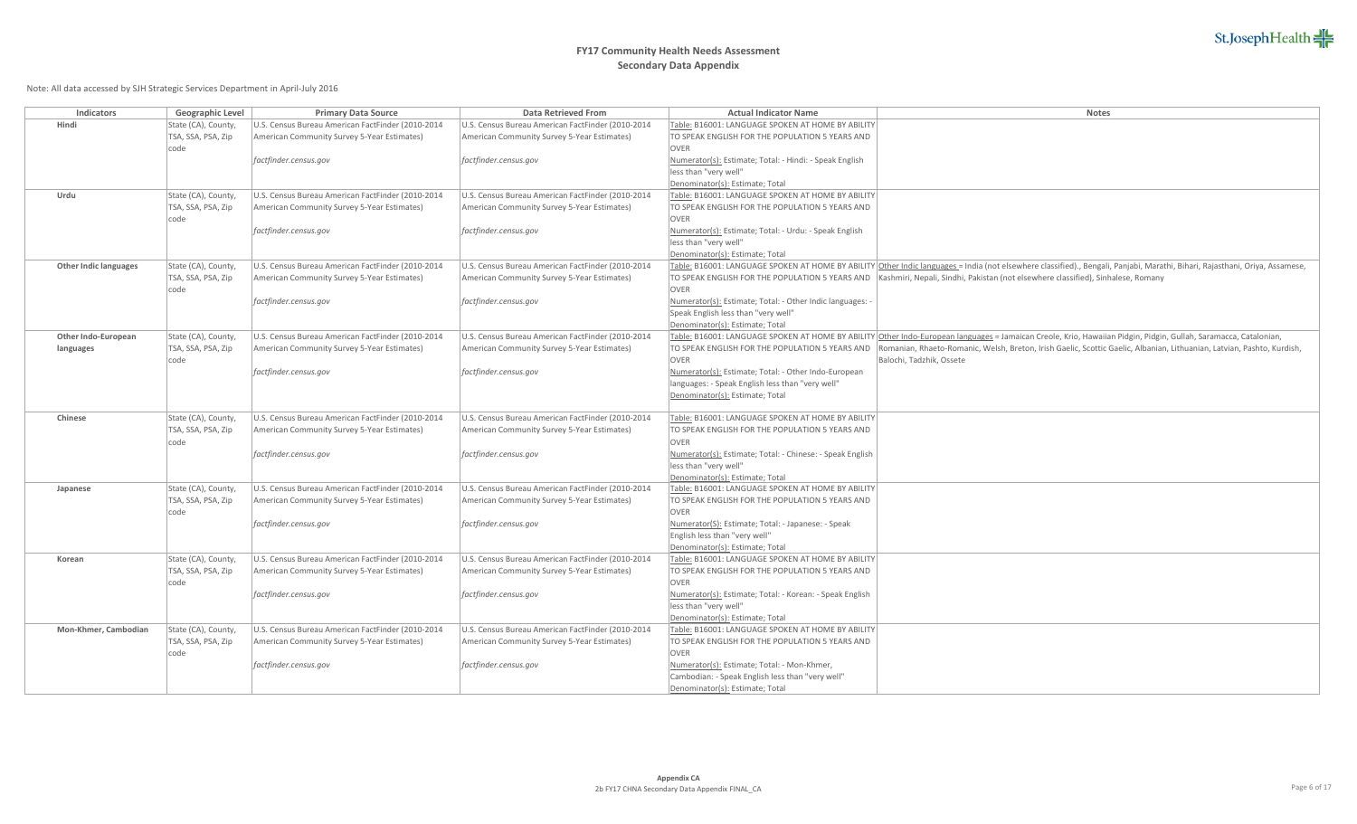# **FY17 Community Health Needs Assessment Secondary Data Appendix**

| Indicators                   | Geographic Level    | <b>Primary Data Source</b>                        | Data Retrieved From                               | <b>Actual Indicator Name</b>                                                                    | Notes                                                                                                                                                                        |
|------------------------------|---------------------|---------------------------------------------------|---------------------------------------------------|-------------------------------------------------------------------------------------------------|------------------------------------------------------------------------------------------------------------------------------------------------------------------------------|
| Hindi                        | State (CA), County, | U.S. Census Bureau American FactFinder (2010-2014 | U.S. Census Bureau American FactFinder (2010-2014 | Table: B16001: LANGUAGE SPOKEN AT HOME BY ABILITY                                               |                                                                                                                                                                              |
|                              | TSA, SSA, PSA, Zip  | American Community Survey 5-Year Estimates)       | American Community Survey 5-Year Estimates)       | TO SPEAK ENGLISH FOR THE POPULATION 5 YEARS AND                                                 |                                                                                                                                                                              |
|                              | code                |                                                   |                                                   | <b>OVER</b>                                                                                     |                                                                                                                                                                              |
|                              |                     | factfinder.census.gov                             | factfinder.census.gov                             | Numerator(s): Estimate; Total: - Hindi: - Speak English                                         |                                                                                                                                                                              |
|                              |                     |                                                   |                                                   | less than "very well"                                                                           |                                                                                                                                                                              |
|                              |                     |                                                   |                                                   | Denominator(s): Estimate; Total                                                                 |                                                                                                                                                                              |
| Urdu                         | State (CA), County, | U.S. Census Bureau American FactFinder (2010-2014 | U.S. Census Bureau American FactFinder (2010-2014 | Table: B16001: LANGUAGE SPOKEN AT HOME BY ABILITY                                               |                                                                                                                                                                              |
|                              | TSA, SSA, PSA, Zip  | American Community Survey 5-Year Estimates)       | American Community Survey 5-Year Estimates)       | TO SPEAK ENGLISH FOR THE POPULATION 5 YEARS AND                                                 |                                                                                                                                                                              |
|                              | code                |                                                   |                                                   | OVER                                                                                            |                                                                                                                                                                              |
|                              |                     | factfinder.census.gov                             | factfinder.census.gov                             | Numerator(s): Estimate; Total: - Urdu: - Speak English                                          |                                                                                                                                                                              |
|                              |                     |                                                   |                                                   | less than "very well"                                                                           |                                                                                                                                                                              |
| <b>Other Indic languages</b> | State (CA), County, | U.S. Census Bureau American FactFinder (2010-2014 | U.S. Census Bureau American FactFinder (2010-2014 | Denominator(s): Estimate; Total                                                                 | Table: B16001: LANGUAGE SPOKEN AT HOME BY ABILITY Other Indic languages = India (not elsewhere classified)., Bengali, Panjabi, Marathi, Bihari, Rajasthani, Oriya, Assamese, |
|                              | TSA, SSA, PSA, Zip  | American Community Survey 5-Year Estimates)       | American Community Survey 5-Year Estimates)       |                                                                                                 | TO SPEAK ENGLISH FOR THE POPULATION 5 YEARS AND   Kashmiri, Nepali, Sindhi, Pakistan (not elsewhere classified), Sinhalese, Romany                                           |
|                              | code                |                                                   |                                                   | OVER                                                                                            |                                                                                                                                                                              |
|                              |                     | factfinder.census.gov                             | factfinder.census.gov                             | Numerator(s): Estimate; Total: - Other Indic languages:                                         |                                                                                                                                                                              |
|                              |                     |                                                   |                                                   | Speak English less than "very well"                                                             |                                                                                                                                                                              |
|                              |                     |                                                   |                                                   | Denominator(s): Estimate; Total                                                                 |                                                                                                                                                                              |
| Other Indo-European          | State (CA), County, | U.S. Census Bureau American FactFinder (2010-2014 | U.S. Census Bureau American FactFinder (2010-2014 |                                                                                                 | Table: B16001: LANGUAGE SPOKEN AT HOME BY ABILITY Other Indo-European languages = Jamaican Creole, Krio, Hawaiian Pidgin, Pidgin, Gullah, Saramacca, Catalonian,             |
| languages                    | TSA, SSA, PSA, Zip  | American Community Survey 5-Year Estimates)       | American Community Survey 5-Year Estimates)       |                                                                                                 | TO SPEAK ENGLISH FOR THE POPULATION 5 YEARS AND Romanian, Rhaeto-Romanic, Welsh, Breton, Irish Gaelic, Scottic Gaelic, Albanian, Lithuanian, Latvian, Pashto, Kurdish,       |
|                              | code                |                                                   |                                                   | OVER                                                                                            | Balochi, Tadzhik, Ossete                                                                                                                                                     |
|                              |                     | factfinder.census.gov                             | factfinder.census.gov                             | Numerator(s): Estimate; Total: - Other Indo-European                                            |                                                                                                                                                                              |
|                              |                     |                                                   |                                                   | languages: - Speak English less than "very well"                                                |                                                                                                                                                                              |
|                              |                     |                                                   |                                                   | Denominator(s): Estimate; Total                                                                 |                                                                                                                                                                              |
|                              |                     |                                                   |                                                   |                                                                                                 |                                                                                                                                                                              |
| Chinese                      | State (CA), County, | U.S. Census Bureau American FactFinder (2010-2014 | U.S. Census Bureau American FactFinder (2010-2014 | Table: B16001: LANGUAGE SPOKEN AT HOME BY ABILITY                                               |                                                                                                                                                                              |
|                              | TSA, SSA, PSA, Zip  | American Community Survey 5-Year Estimates)       | American Community Survey 5-Year Estimates)       | TO SPEAK ENGLISH FOR THE POPULATION 5 YEARS AND                                                 |                                                                                                                                                                              |
|                              | code                |                                                   |                                                   | OVER                                                                                            |                                                                                                                                                                              |
|                              |                     | factfinder.census.gov                             | factfinder.census.gov                             | Numerator(s): Estimate; Total: - Chinese: - Speak English<br>less than "very well"              |                                                                                                                                                                              |
|                              |                     |                                                   |                                                   | Denominator(s): Estimate; Total                                                                 |                                                                                                                                                                              |
| Japanese                     | State (CA), County, | U.S. Census Bureau American FactFinder (2010-2014 | U.S. Census Bureau American FactFinder (2010-2014 | Table: B16001: LANGUAGE SPOKEN AT HOME BY ABILITY                                               |                                                                                                                                                                              |
|                              | TSA, SSA, PSA, Zip  | American Community Survey 5-Year Estimates)       | American Community Survey 5-Year Estimates)       | TO SPEAK ENGLISH FOR THE POPULATION 5 YEARS AND                                                 |                                                                                                                                                                              |
|                              | code                |                                                   |                                                   | OVER                                                                                            |                                                                                                                                                                              |
|                              |                     | factfinder.census.gov                             | factfinder.census.gov                             | Numerator(S): Estimate; Total: - Japanese: - Speak                                              |                                                                                                                                                                              |
|                              |                     |                                                   |                                                   | English less than "very well"                                                                   |                                                                                                                                                                              |
|                              |                     |                                                   |                                                   | Denominator(s): Estimate; Total                                                                 |                                                                                                                                                                              |
| Korean                       | State (CA), County, | U.S. Census Bureau American FactFinder (2010-2014 | U.S. Census Bureau American FactFinder (2010-2014 | Table: B16001: LANGUAGE SPOKEN AT HOME BY ABILITY                                               |                                                                                                                                                                              |
|                              | TSA, SSA, PSA, Zip  | American Community Survey 5-Year Estimates)       | American Community Survey 5-Year Estimates)       | TO SPEAK ENGLISH FOR THE POPULATION 5 YEARS AND                                                 |                                                                                                                                                                              |
|                              | code                |                                                   |                                                   | <b>OVER</b>                                                                                     |                                                                                                                                                                              |
|                              |                     | factfinder.census.gov                             | factfinder.census.gov                             | Numerator(s): Estimate; Total: - Korean: - Speak English                                        |                                                                                                                                                                              |
|                              |                     |                                                   |                                                   | less than "very well"                                                                           |                                                                                                                                                                              |
|                              |                     |                                                   |                                                   | Denominator(s): Estimate; Total                                                                 |                                                                                                                                                                              |
| Mon-Khmer, Cambodian         | State (CA), County, | U.S. Census Bureau American FactFinder (2010-2014 | U.S. Census Bureau American FactFinder (2010-2014 | Table: B16001: LANGUAGE SPOKEN AT HOME BY ABILITY                                               |                                                                                                                                                                              |
|                              | TSA, SSA, PSA, Zip  | American Community Survey 5-Year Estimates)       | American Community Survey 5-Year Estimates)       | TO SPEAK ENGLISH FOR THE POPULATION 5 YEARS AND                                                 |                                                                                                                                                                              |
|                              | code                |                                                   |                                                   | OVER                                                                                            |                                                                                                                                                                              |
|                              |                     | factfinder.census.gov                             | factfinder.census.gov                             | Numerator(s): Estimate; Total: - Mon-Khmer,<br>Cambodian: - Speak English less than "very well" |                                                                                                                                                                              |
|                              |                     |                                                   |                                                   | Denominator(s): Estimate; Total                                                                 |                                                                                                                                                                              |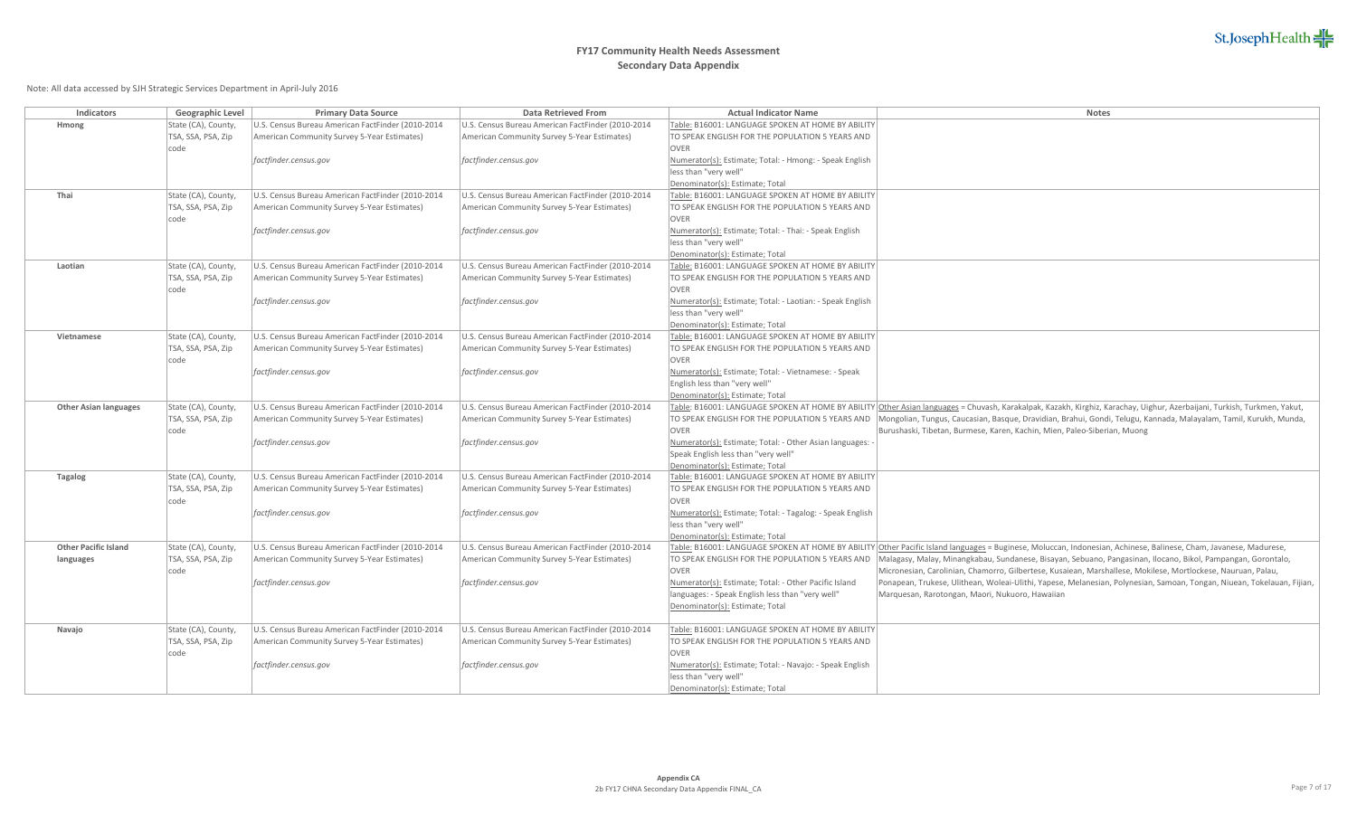# **FY17 Community Health Needs Assessment Secondary Data Appendix**

| Indicators                   | Geographic Level           | <b>Primary Data Source</b>                        | Data Retrieved From                               | <b>Actual Indicator Name</b>                                     | Notes                                                                                                                                                                   |
|------------------------------|----------------------------|---------------------------------------------------|---------------------------------------------------|------------------------------------------------------------------|-------------------------------------------------------------------------------------------------------------------------------------------------------------------------|
| Hmong                        | State (CA), County,        | U.S. Census Bureau American FactFinder (2010-2014 | U.S. Census Bureau American FactFinder (2010-2014 | Table: B16001: LANGUAGE SPOKEN AT HOME BY ABILITY                |                                                                                                                                                                         |
|                              | TSA, SSA, PSA, Zip         | American Community Survey 5-Year Estimates)       | American Community Survey 5-Year Estimates)       | TO SPEAK ENGLISH FOR THE POPULATION 5 YEARS AND                  |                                                                                                                                                                         |
|                              | code                       |                                                   |                                                   | <b>OVER</b>                                                      |                                                                                                                                                                         |
|                              |                            | factfinder.census.gov                             | factfinder.census.gov                             | Numerator(s): Estimate; Total: - Hmong: - Speak English          |                                                                                                                                                                         |
|                              |                            |                                                   |                                                   | less than "very well"                                            |                                                                                                                                                                         |
|                              |                            |                                                   |                                                   | Denominator(s): Estimate; Total                                  |                                                                                                                                                                         |
| Thai                         | State (CA), County,        | U.S. Census Bureau American FactFinder (2010-2014 | U.S. Census Bureau American FactFinder (2010-2014 | Table: B16001: LANGUAGE SPOKEN AT HOME BY ABILITY                |                                                                                                                                                                         |
|                              | TSA, SSA, PSA, Zip<br>code | American Community Survey 5-Year Estimates)       | American Community Survey 5-Year Estimates)       | TO SPEAK ENGLISH FOR THE POPULATION 5 YEARS AND<br>OVER          |                                                                                                                                                                         |
|                              |                            | factfinder.census.gov                             | factfinder.census.gov                             | Numerator(s): Estimate; Total: - Thai: - Speak English           |                                                                                                                                                                         |
|                              |                            |                                                   |                                                   | less than "very well"                                            |                                                                                                                                                                         |
|                              |                            |                                                   |                                                   | Denominator(s): Estimate; Total                                  |                                                                                                                                                                         |
| Laotian                      | State (CA), County,        | U.S. Census Bureau American FactFinder (2010-2014 | U.S. Census Bureau American FactFinder (2010-2014 | Table: B16001: LANGUAGE SPOKEN AT HOME BY ABILITY                |                                                                                                                                                                         |
|                              | TSA, SSA, PSA, Zip         | American Community Survey 5-Year Estimates)       | American Community Survey 5-Year Estimates)       | TO SPEAK ENGLISH FOR THE POPULATION 5 YEARS AND                  |                                                                                                                                                                         |
|                              | code                       |                                                   |                                                   | <b>OVER</b>                                                      |                                                                                                                                                                         |
|                              |                            | factfinder.census.gov                             | factfinder.census.gov                             | Numerator(s): Estimate; Total: - Laotian: - Speak English        |                                                                                                                                                                         |
|                              |                            |                                                   |                                                   | less than "very well"                                            |                                                                                                                                                                         |
|                              |                            |                                                   |                                                   | Denominator(s): Estimate; Total                                  |                                                                                                                                                                         |
| Vietnamese                   | State (CA), County,        | U.S. Census Bureau American FactFinder (2010-2014 | U.S. Census Bureau American FactFinder (2010-2014 | Table: B16001: LANGUAGE SPOKEN AT HOME BY ABILITY                |                                                                                                                                                                         |
|                              | TSA, SSA, PSA, Zip         | American Community Survey 5-Year Estimates)       | American Community Survey 5-Year Estimates)       | TO SPEAK ENGLISH FOR THE POPULATION 5 YEARS AND                  |                                                                                                                                                                         |
|                              | code                       |                                                   |                                                   | OVER                                                             |                                                                                                                                                                         |
|                              |                            | factfinder.census.gov                             | factfinder.census.gov                             | Numerator(s): Estimate; Total: - Vietnamese: - Speak             |                                                                                                                                                                         |
|                              |                            |                                                   |                                                   | English less than "very well"<br>Denominator(s): Estimate; Total |                                                                                                                                                                         |
| <b>Other Asian languages</b> | State (CA), County,        | U.S. Census Bureau American FactFinder (2010-2014 | U.S. Census Bureau American FactFinder (2010-2014 |                                                                  | Table: B16001: LANGUAGE SPOKEN AT HOME BY ABILITY Other Asian languages = Chuvash, Karakalpak, Kazakh, Kirghiz, Karachay, Uighur, Azerbaijani, Turkish, Turkmen, Yakut, |
|                              | TSA, SSA, PSA, Zip         | American Community Survey 5-Year Estimates)       | American Community Survey 5-Year Estimates)       |                                                                  | TO SPEAK ENGLISH FOR THE POPULATION 5 YEARS AND   Mongolian, Tungus, Caucasian, Basque, Dravidian, Brahui, Gondi, Telugu, Kannada, Malayalam, Tamil, Kurukh, Munda,     |
|                              | code                       |                                                   |                                                   | <b>OVER</b>                                                      | Burushaski, Tibetan, Burmese, Karen, Kachin, Mien, Paleo-Siberian, Muong                                                                                                |
|                              |                            | factfinder.census.gov                             | factfinder.census.gov                             | Numerator(s): Estimate; Total: - Other Asian languages:          |                                                                                                                                                                         |
|                              |                            |                                                   |                                                   | Speak English less than "very well"                              |                                                                                                                                                                         |
|                              |                            |                                                   |                                                   | Denominator(s): Estimate; Total                                  |                                                                                                                                                                         |
| <b>Tagalog</b>               | State (CA), County,        | U.S. Census Bureau American FactFinder (2010-2014 | U.S. Census Bureau American FactFinder (2010-2014 | Table: B16001: LANGUAGE SPOKEN AT HOME BY ABILITY                |                                                                                                                                                                         |
|                              | TSA, SSA, PSA, Zip         | American Community Survey 5-Year Estimates)       | American Community Survey 5-Year Estimates)       | TO SPEAK ENGLISH FOR THE POPULATION 5 YEARS AND                  |                                                                                                                                                                         |
|                              | code                       |                                                   |                                                   | OVER                                                             |                                                                                                                                                                         |
|                              |                            | factfinder.census.gov                             | factfinder.census.gov                             | Numerator(s): Estimate; Total: - Tagalog: - Speak English        |                                                                                                                                                                         |
|                              |                            |                                                   |                                                   | less than "very well"                                            |                                                                                                                                                                         |
| <b>Other Pacific Island</b>  | State (CA), County,        | U.S. Census Bureau American FactFinder (2010-2014 | U.S. Census Bureau American FactFinder (2010-2014 | Denominator(s): Estimate; Total                                  | Table: B16001: LANGUAGE SPOKEN AT HOME BY ABILITY Other Pacific Island languages = Buginese, Moluccan, Indonesian, Achinese, Balinese, Cham, Javanese, Madurese,        |
| languages                    | TSA, SSA, PSA, Zip         | American Community Survey 5-Year Estimates)       | American Community Survey 5-Year Estimates)       | TO SPEAK ENGLISH FOR THE POPULATION 5 YEARS AND                  | Malagasy, Malay, Minangkabau, Sundanese, Bisayan, Sebuano, Pangasinan, Ilocano, Bikol, Pampangan, Gorontalo,                                                            |
|                              | code                       |                                                   |                                                   | <b>OVER</b>                                                      | Micronesian, Carolinian, Chamorro, Gilbertese, Kusaiean, Marshallese, Mokilese, Mortlockese, Nauruan, Palau,                                                            |
|                              |                            | factfinder.census.gov                             | factfinder.census.gov                             | Numerator(s): Estimate; Total: - Other Pacific Island            | Ponapean, Trukese, Ulithean, Woleai-Ulithi, Yapese, Melanesian, Polynesian, Samoan, Tongan, Niuean, Tokelauan, Fijian,                                                  |
|                              |                            |                                                   |                                                   | languages: - Speak English less than "very well"                 | Marquesan, Rarotongan, Maori, Nukuoro, Hawaiian                                                                                                                         |
|                              |                            |                                                   |                                                   | Denominator(s): Estimate; Total                                  |                                                                                                                                                                         |
|                              |                            |                                                   |                                                   |                                                                  |                                                                                                                                                                         |
| Navajo                       | State (CA), County,        | U.S. Census Bureau American FactFinder (2010-2014 | U.S. Census Bureau American FactFinder (2010-2014 | Table: B16001: LANGUAGE SPOKEN AT HOME BY ABILITY                |                                                                                                                                                                         |
|                              | TSA, SSA, PSA, Zip         | American Community Survey 5-Year Estimates)       | American Community Survey 5-Year Estimates)       | TO SPEAK ENGLISH FOR THE POPULATION 5 YEARS AND                  |                                                                                                                                                                         |
|                              | code                       |                                                   |                                                   | <b>OVER</b>                                                      |                                                                                                                                                                         |
|                              |                            | factfinder.census.gov                             | factfinder.census.gov                             | Numerator(s): Estimate; Total: - Navajo: - Speak English         |                                                                                                                                                                         |
|                              |                            |                                                   |                                                   | less than "very well"                                            |                                                                                                                                                                         |
|                              |                            |                                                   |                                                   | Denominator(s): Estimate; Total                                  |                                                                                                                                                                         |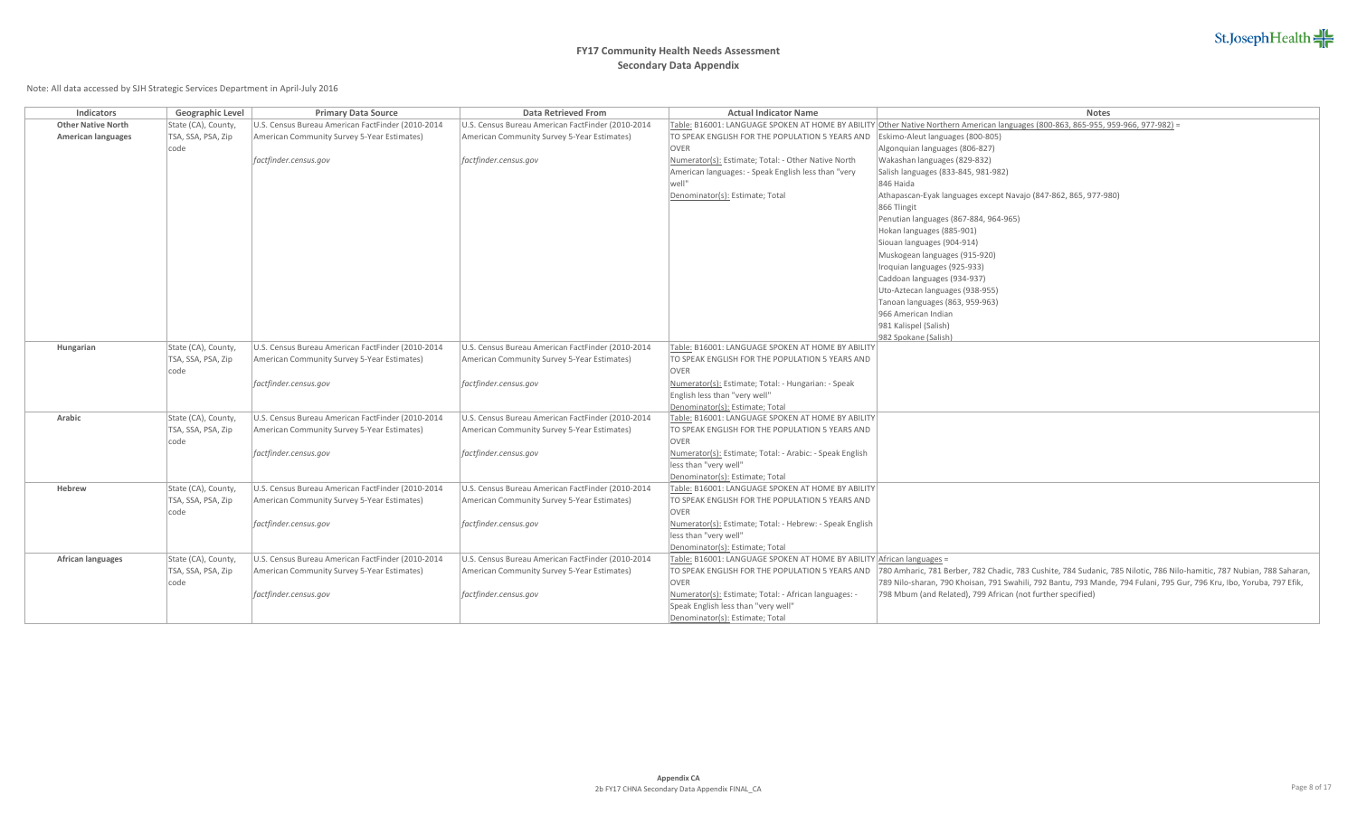# **FY17 Community Health Needs Assessment Secondary Data Appendix**

| <b>Indicators</b>         | Geographic Level    | <b>Primary Data Source</b>                        | <b>Data Retrieved From</b>                        | <b>Actual Indicator Name</b>                                          | <b>Notes</b>                                                                                                                      |
|---------------------------|---------------------|---------------------------------------------------|---------------------------------------------------|-----------------------------------------------------------------------|-----------------------------------------------------------------------------------------------------------------------------------|
| <b>Other Native North</b> | State (CA), County, | U.S. Census Bureau American FactFinder (2010-2014 | U.S. Census Bureau American FactFinder (2010-2014 |                                                                       | Table: B16001: LANGUAGE SPOKEN AT HOME BY ABILITY Other Native Northern American languages (800-863, 865-955, 959-966, 977-982) = |
| American languages        | TSA, SSA, PSA, Zip  | American Community Survey 5-Year Estimates)       | American Community Survey 5-Year Estimates)       | TO SPEAK ENGLISH FOR THE POPULATION 5 YEARS AND                       | Eskimo-Aleut languages (800-805)                                                                                                  |
|                           | code                |                                                   |                                                   | <b>OVER</b>                                                           | Algonquian languages (806-827)                                                                                                    |
|                           |                     | factfinder.census.gov                             | factfinder.census.gov                             | Numerator(s): Estimate; Total: - Other Native North                   | Wakashan languages (829-832)                                                                                                      |
|                           |                     |                                                   |                                                   | American languages: - Speak English less than "very                   | Salish languages (833-845, 981-982)                                                                                               |
|                           |                     |                                                   |                                                   |                                                                       | 846 Haida                                                                                                                         |
|                           |                     |                                                   |                                                   | Denominator(s): Estimate; Total                                       | Athapascan-Eyak languages except Navajo (847-862, 865, 977-980)                                                                   |
|                           |                     |                                                   |                                                   |                                                                       | 866 Tlingit                                                                                                                       |
|                           |                     |                                                   |                                                   |                                                                       | Penutian languages (867-884, 964-965)                                                                                             |
|                           |                     |                                                   |                                                   |                                                                       | Hokan languages (885-901)                                                                                                         |
|                           |                     |                                                   |                                                   |                                                                       | Siouan languages (904-914)                                                                                                        |
|                           |                     |                                                   |                                                   |                                                                       | Muskogean languages (915-920)                                                                                                     |
|                           |                     |                                                   |                                                   |                                                                       | Iroquian languages (925-933)                                                                                                      |
|                           |                     |                                                   |                                                   |                                                                       | Caddoan languages (934-937)                                                                                                       |
|                           |                     |                                                   |                                                   |                                                                       | Uto-Aztecan languages (938-955)                                                                                                   |
|                           |                     |                                                   |                                                   |                                                                       | Tanoan languages (863, 959-963)                                                                                                   |
|                           |                     |                                                   |                                                   |                                                                       | 966 American Indian                                                                                                               |
|                           |                     |                                                   |                                                   |                                                                       | 981 Kalispel (Salish)                                                                                                             |
|                           |                     |                                                   |                                                   |                                                                       | 982 Spokane (Salish)                                                                                                              |
| Hungarian                 | State (CA), County, | U.S. Census Bureau American FactFinder (2010-2014 | U.S. Census Bureau American FactFinder (2010-2014 | Table: B16001: LANGUAGE SPOKEN AT HOME BY ABILITY                     |                                                                                                                                   |
|                           | TSA, SSA, PSA, Zip  | American Community Survey 5-Year Estimates)       | American Community Survey 5-Year Estimates)       | TO SPEAK ENGLISH FOR THE POPULATION 5 YEARS AND                       |                                                                                                                                   |
|                           | code                |                                                   |                                                   | <b>OVER</b>                                                           |                                                                                                                                   |
|                           |                     | factfinder.census.gov                             | factfinder.census.gov                             | Numerator(s): Estimate; Total: - Hungarian: - Speak                   |                                                                                                                                   |
|                           |                     |                                                   |                                                   | English less than "very well"                                         |                                                                                                                                   |
|                           |                     |                                                   |                                                   | Denominator(s): Estimate; Total                                       |                                                                                                                                   |
| Arabic                    | State (CA), County, | U.S. Census Bureau American FactFinder (2010-2014 | U.S. Census Bureau American FactFinder (2010-2014 | Table: B16001: LANGUAGE SPOKEN AT HOME BY ABILITY                     |                                                                                                                                   |
|                           | TSA, SSA, PSA, Zip  | American Community Survey 5-Year Estimates)       | American Community Survey 5-Year Estimates)       | TO SPEAK ENGLISH FOR THE POPULATION 5 YEARS AND                       |                                                                                                                                   |
|                           | code                |                                                   |                                                   | <b>OVER</b>                                                           |                                                                                                                                   |
|                           |                     | factfinder.census.gov                             | factfinder.census.gov                             | Numerator(s): Estimate; Total: - Arabic: - Speak English              |                                                                                                                                   |
|                           |                     |                                                   |                                                   | less than "very well"                                                 |                                                                                                                                   |
|                           |                     |                                                   |                                                   | Denominator(s): Estimate; Total                                       |                                                                                                                                   |
| Hebrew                    | State (CA), County, | U.S. Census Bureau American FactFinder (2010-2014 | U.S. Census Bureau American FactFinder (2010-2014 | Table: B16001: LANGUAGE SPOKEN AT HOME BY ABILITY                     |                                                                                                                                   |
|                           | TSA, SSA, PSA, Zip  | American Community Survey 5-Year Estimates)       | American Community Survey 5-Year Estimates)       | TO SPEAK ENGLISH FOR THE POPULATION 5 YEARS AND                       |                                                                                                                                   |
|                           | code                |                                                   |                                                   | <b>OVER</b>                                                           |                                                                                                                                   |
|                           |                     | factfinder.census.gov                             | factfinder.census.gov                             | Numerator(s): Estimate; Total: - Hebrew: - Speak English              |                                                                                                                                   |
|                           |                     |                                                   |                                                   | less than "very well"                                                 |                                                                                                                                   |
|                           |                     |                                                   |                                                   | Denominator(s): Estimate; Total                                       |                                                                                                                                   |
| African languages         | State (CA), County, | U.S. Census Bureau American FactFinder (2010-2014 | U.S. Census Bureau American FactFinder (2010-2014 | Table: B16001: LANGUAGE SPOKEN AT HOME BY ABILITY African languages = |                                                                                                                                   |
|                           | TSA, SSA, PSA, Zip  | American Community Survey 5-Year Estimates)       | American Community Survey 5-Year Estimates)       | TO SPEAK ENGLISH FOR THE POPULATION 5 YEARS AND                       | 780 Amharic, 781 Berber, 782 Chadic, 783 Cushite, 784 Sudanic, 785 Nilotic, 786 Nilo-hamitic, 787 Nubian, 788 Saharan,            |
|                           | code                |                                                   |                                                   | <b>OVER</b>                                                           | 789 Nilo-sharan, 790 Khoisan, 791 Swahili, 792 Bantu, 793 Mande, 794 Fulani, 795 Gur, 796 Kru, Ibo, Yoruba, 797 Efik,             |
|                           |                     | factfinder.census.gov                             | factfinder.census.gov                             | Numerator(s): Estimate; Total: - African languages: -                 | 798 Mbum (and Related), 799 African (not further specified)                                                                       |
|                           |                     |                                                   |                                                   | Speak English less than "very well"                                   |                                                                                                                                   |
|                           |                     |                                                   |                                                   | Denominator(s): Estimate; Total                                       |                                                                                                                                   |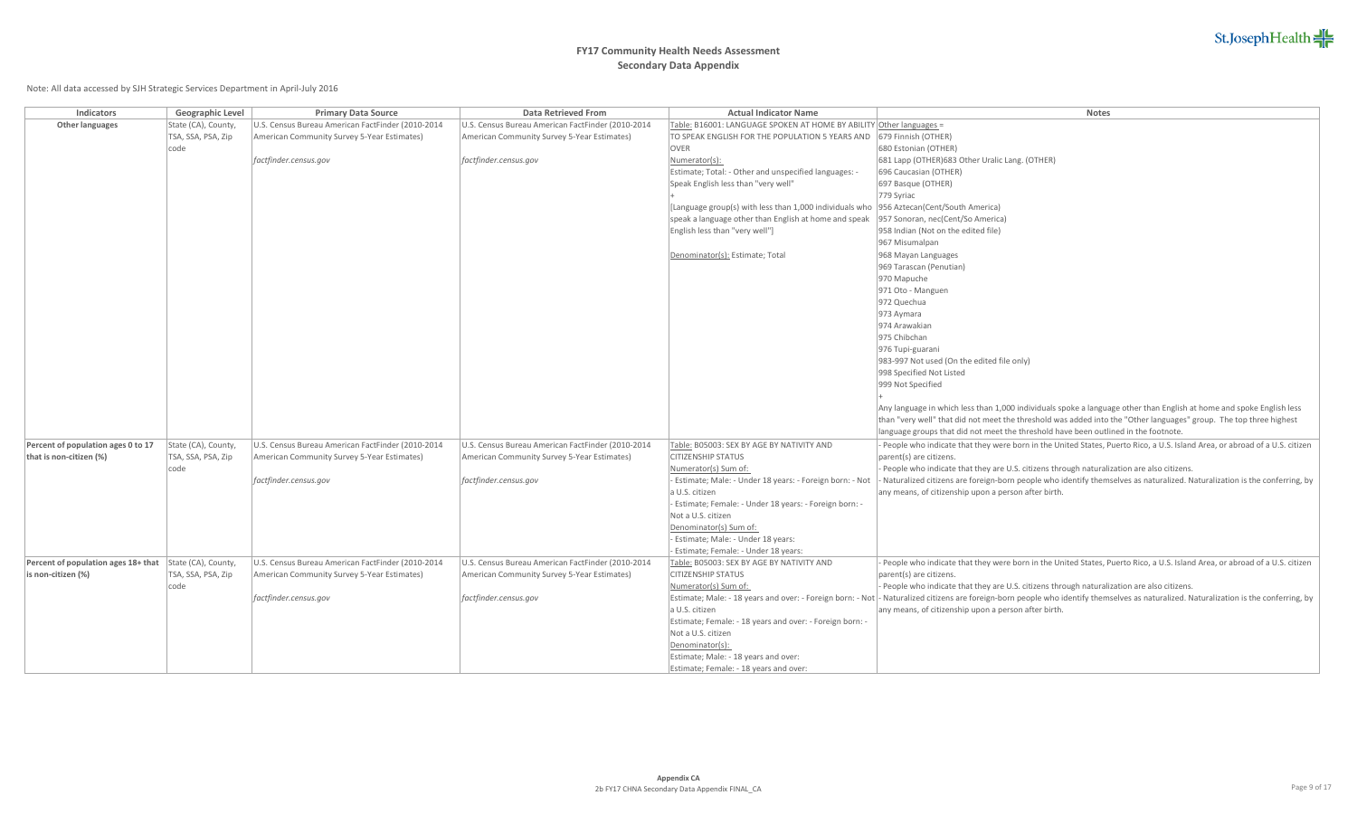# **FY17 Community Health Needs Assessment Secondary Data Appendix**

| Indicators                          | Geographic Level    | <b>Primary Data Source</b>                        | <b>Data Retrieved From</b>                        | <b>Actual Indicator Name</b>                                        | <b>Notes</b>                                                                                                                                                                            |
|-------------------------------------|---------------------|---------------------------------------------------|---------------------------------------------------|---------------------------------------------------------------------|-----------------------------------------------------------------------------------------------------------------------------------------------------------------------------------------|
| Other languages                     | State (CA), County, | U.S. Census Bureau American FactFinder (2010-2014 | U.S. Census Bureau American FactFinder (2010-2014 | Table: B16001: LANGUAGE SPOKEN AT HOME BY ABILITY Other languages = |                                                                                                                                                                                         |
|                                     | TSA, SSA, PSA, Zip  | American Community Survey 5-Year Estimates)       | American Community Survey 5-Year Estimates)       | TO SPEAK ENGLISH FOR THE POPULATION 5 YEARS AND                     | 679 Finnish (OTHER)                                                                                                                                                                     |
|                                     | code                |                                                   |                                                   | OVER                                                                | 680 Estonian (OTHER)                                                                                                                                                                    |
|                                     |                     | factfinder.census.gov                             | factfinder.census.gov                             | Numerator(s):                                                       | 681 Lapp (OTHER) 683 Other Uralic Lang. (OTHER)                                                                                                                                         |
|                                     |                     |                                                   |                                                   | Estimate; Total: - Other and unspecified languages: -               | 696 Caucasian (OTHER)                                                                                                                                                                   |
|                                     |                     |                                                   |                                                   | Speak English less than "very well"                                 | 697 Basque (OTHER)                                                                                                                                                                      |
|                                     |                     |                                                   |                                                   |                                                                     | 779 Syriac                                                                                                                                                                              |
|                                     |                     |                                                   |                                                   | [Language group(s) with less than 1,000 individuals who             | 956 Aztecan(Cent/South America)                                                                                                                                                         |
|                                     |                     |                                                   |                                                   | speak a language other than English at home and speak               | 957 Sonoran, nec(Cent/So America)                                                                                                                                                       |
|                                     |                     |                                                   |                                                   | English less than "very well"]                                      | 958 Indian (Not on the edited file)                                                                                                                                                     |
|                                     |                     |                                                   |                                                   |                                                                     | 967 Misumalpan                                                                                                                                                                          |
|                                     |                     |                                                   |                                                   | Denominator(s): Estimate; Total                                     | 968 Mayan Languages                                                                                                                                                                     |
|                                     |                     |                                                   |                                                   |                                                                     | 969 Tarascan (Penutian)                                                                                                                                                                 |
|                                     |                     |                                                   |                                                   |                                                                     | 970 Mapuche                                                                                                                                                                             |
|                                     |                     |                                                   |                                                   |                                                                     | 971 Oto - Manguen                                                                                                                                                                       |
|                                     |                     |                                                   |                                                   |                                                                     | 972 Quechua                                                                                                                                                                             |
|                                     |                     |                                                   |                                                   |                                                                     | 973 Aymara                                                                                                                                                                              |
|                                     |                     |                                                   |                                                   |                                                                     | 974 Arawakian<br>975 Chibchan                                                                                                                                                           |
|                                     |                     |                                                   |                                                   |                                                                     |                                                                                                                                                                                         |
|                                     |                     |                                                   |                                                   |                                                                     | 976 Tupi-guarani<br>983-997 Not used (On the edited file only)                                                                                                                          |
|                                     |                     |                                                   |                                                   |                                                                     | 998 Specified Not Listed                                                                                                                                                                |
|                                     |                     |                                                   |                                                   |                                                                     | 999 Not Specified                                                                                                                                                                       |
|                                     |                     |                                                   |                                                   |                                                                     |                                                                                                                                                                                         |
|                                     |                     |                                                   |                                                   |                                                                     | Any language in which less than 1,000 individuals spoke a language other than English at home and spoke English less                                                                    |
|                                     |                     |                                                   |                                                   |                                                                     | than "very well" that did not meet the threshold was added into the "Other languages" group. The top three highest                                                                      |
|                                     |                     |                                                   |                                                   |                                                                     | language groups that did not meet the threshold have been outlined in the footnote.                                                                                                     |
| Percent of population ages 0 to 17  | State (CA), County, | U.S. Census Bureau American FactFinder (2010-2014 | U.S. Census Bureau American FactFinder (2010-2014 | Table: B05003: SEX BY AGE BY NATIVITY AND                           | People who indicate that they were born in the United States, Puerto Rico, a U.S. Island Area, or abroad of a U.S. citizen                                                              |
| that is non-citizen (%)             | TSA, SSA, PSA, Zip  | American Community Survey 5-Year Estimates)       | American Community Survey 5-Year Estimates)       | <b>CITIZENSHIP STATUS</b>                                           | parent(s) are citizens.                                                                                                                                                                 |
|                                     | code                |                                                   |                                                   | Numerator(s) Sum of:                                                | People who indicate that they are U.S. citizens through naturalization are also citizens.                                                                                               |
|                                     |                     | factfinder.census.gov                             | factfinder.census.gov                             | - Estimate; Male: - Under 18 years: - Foreign born: - Not           | Naturalized citizens are foreign-born people who identify themselves as naturalized. Naturalization is the conferring, by                                                               |
|                                     |                     |                                                   |                                                   | a U.S. citizen                                                      | any means, of citizenship upon a person after birth.                                                                                                                                    |
|                                     |                     |                                                   |                                                   | Estimate; Female: - Under 18 years: - Foreign born: -               |                                                                                                                                                                                         |
|                                     |                     |                                                   |                                                   | Not a U.S. citizen                                                  |                                                                                                                                                                                         |
|                                     |                     |                                                   |                                                   | Denominator(s) Sum of:                                              |                                                                                                                                                                                         |
|                                     |                     |                                                   |                                                   | - Estimate; Male: - Under 18 years:                                 |                                                                                                                                                                                         |
|                                     |                     |                                                   |                                                   | Estimate; Female: - Under 18 years:                                 |                                                                                                                                                                                         |
| Percent of population ages 18+ that | State (CA), County, | U.S. Census Bureau American FactFinder (2010-2014 | U.S. Census Bureau American FactFinder (2010-2014 | Table: B05003: SEX BY AGE BY NATIVITY AND                           | People who indicate that they were born in the United States, Puerto Rico, a U.S. Island Area, or abroad of a U.S. citizen                                                              |
| is non-citizen (%)                  | TSA, SSA, PSA, Zip  | American Community Survey 5-Year Estimates)       | American Community Survey 5-Year Estimates)       | <b>CITIZENSHIP STATUS</b>                                           | parent(s) are citizens.                                                                                                                                                                 |
|                                     | code                |                                                   |                                                   | Numerator(s) Sum of:                                                | People who indicate that they are U.S. citizens through naturalization are also citizens.                                                                                               |
|                                     |                     | factfinder.census.gov                             | factfinder.census.gov                             |                                                                     | Estimate; Male: - 18 years and over: - Foreign born: - Not  - Naturalized citizens are foreign-born people who identify themselves as naturalized. Naturalization is the conferring, by |
|                                     |                     |                                                   |                                                   | a U.S. citizen                                                      | any means, of citizenship upon a person after birth.                                                                                                                                    |
|                                     |                     |                                                   |                                                   | Estimate; Female: - 18 years and over: - Foreign born: -            |                                                                                                                                                                                         |
|                                     |                     |                                                   |                                                   | Not a U.S. citizen                                                  |                                                                                                                                                                                         |
|                                     |                     |                                                   |                                                   | Denominator(s):<br>Estimate; Male: - 18 years and over:             |                                                                                                                                                                                         |
|                                     |                     |                                                   |                                                   |                                                                     |                                                                                                                                                                                         |
|                                     |                     |                                                   |                                                   | Estimate; Female: - 18 years and over:                              |                                                                                                                                                                                         |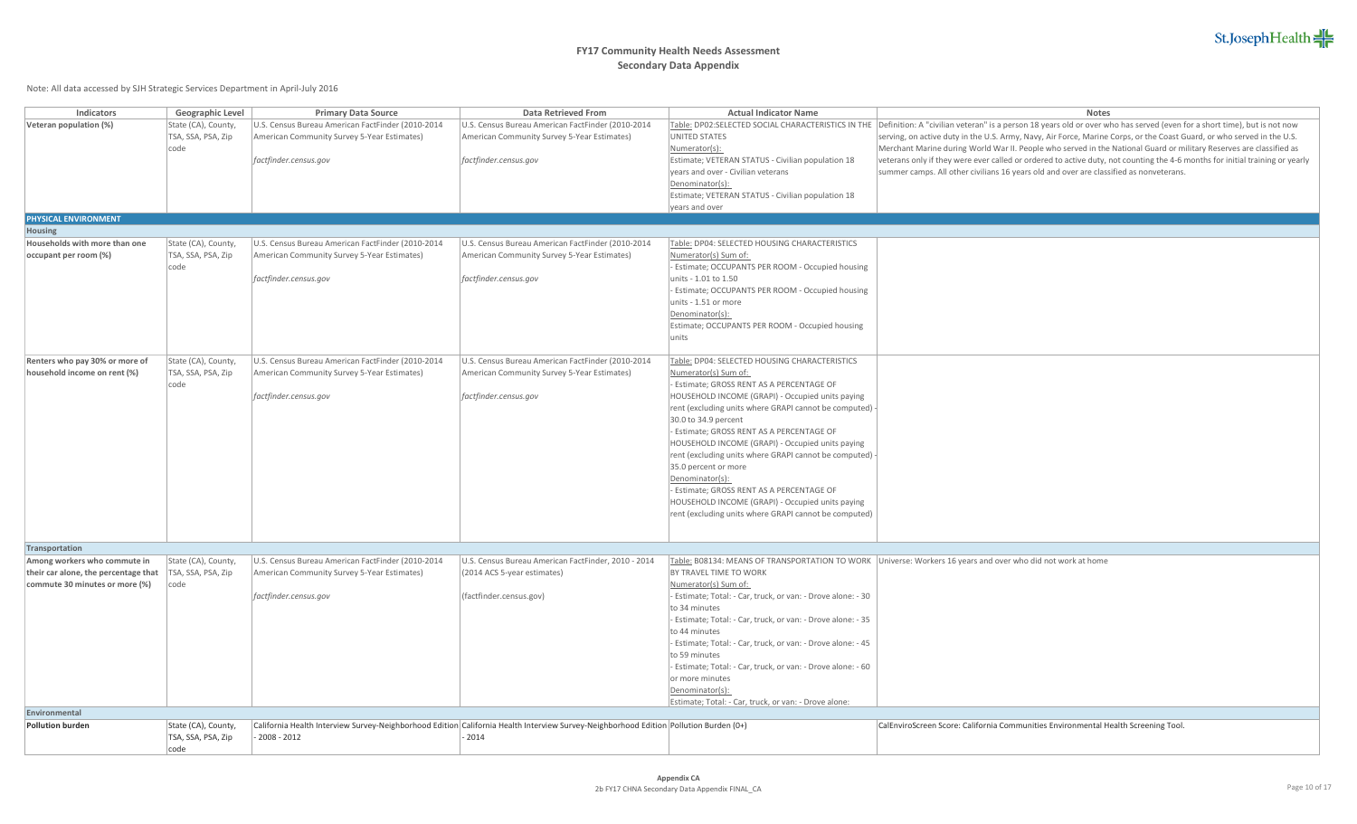| <b>Indicators</b>                                              | Geographic Level           | <b>Primary Data Source</b>                        | <b>Data Retrieved From</b>                                                                                                            | <b>Actual Indicator Name</b>                                                                                | <b>Notes</b>                                                                                                                                                                |
|----------------------------------------------------------------|----------------------------|---------------------------------------------------|---------------------------------------------------------------------------------------------------------------------------------------|-------------------------------------------------------------------------------------------------------------|-----------------------------------------------------------------------------------------------------------------------------------------------------------------------------|
| Veteran population (%)                                         | State (CA), County,        | U.S. Census Bureau American FactFinder (2010-2014 | U.S. Census Bureau American FactFinder (2010-2014                                                                                     |                                                                                                             | Table: DP02:SELECTED SOCIAL CHARACTERISTICS IN THE Definition: A "civilian veteran" is a person 18 years old or over who has served (even for a short time), but is not now |
|                                                                | TSA, SSA, PSA, Zip         | American Community Survey 5-Year Estimates)       | American Community Survey 5-Year Estimates)                                                                                           | UNITED STATES                                                                                               | serving, on active duty in the U.S. Army, Navy, Air Force, Marine Corps, or the Coast Guard, or who served in the U.S.                                                      |
|                                                                | code                       |                                                   |                                                                                                                                       | Numerator(s):                                                                                               | Merchant Marine during World War II. People who served in the National Guard or military Reserves are classified as                                                         |
|                                                                |                            | factfinder.census.gov                             | factfinder.census.gov                                                                                                                 | Estimate; VETERAN STATUS - Civilian population 18                                                           | veterans only if they were ever called or ordered to active duty, not counting the 4-6 months for initial training or yearly                                                |
|                                                                |                            |                                                   |                                                                                                                                       | years and over - Civilian veterans                                                                          | summer camps. All other civilians 16 years old and over are classified as nonveterans.                                                                                      |
|                                                                |                            |                                                   |                                                                                                                                       | Denominator(s):                                                                                             |                                                                                                                                                                             |
|                                                                |                            |                                                   |                                                                                                                                       | Estimate; VETERAN STATUS - Civilian population 18                                                           |                                                                                                                                                                             |
|                                                                |                            |                                                   |                                                                                                                                       | years and over                                                                                              |                                                                                                                                                                             |
| PHYSICAL ENVIRONMENT                                           |                            |                                                   |                                                                                                                                       |                                                                                                             |                                                                                                                                                                             |
| Housing                                                        |                            |                                                   |                                                                                                                                       |                                                                                                             |                                                                                                                                                                             |
| Households with more than one                                  | State (CA), County,        | U.S. Census Bureau American FactFinder (2010-2014 | U.S. Census Bureau American FactFinder (2010-2014                                                                                     | Table: DP04: SELECTED HOUSING CHARACTERISTICS                                                               |                                                                                                                                                                             |
| occupant per room (%)                                          | TSA, SSA, PSA, Zip         | American Community Survey 5-Year Estimates)       | American Community Survey 5-Year Estimates)                                                                                           | Numerator(s) Sum of:                                                                                        |                                                                                                                                                                             |
|                                                                | code                       |                                                   |                                                                                                                                       | Estimate; OCCUPANTS PER ROOM - Occupied housing                                                             |                                                                                                                                                                             |
|                                                                |                            | factfinder.census.gov                             | factfinder.census.gov                                                                                                                 | units - 1.01 to 1.50                                                                                        |                                                                                                                                                                             |
|                                                                |                            |                                                   |                                                                                                                                       | - Estimate; OCCUPANTS PER ROOM - Occupied housing                                                           |                                                                                                                                                                             |
|                                                                |                            |                                                   |                                                                                                                                       | units - 1.51 or more                                                                                        |                                                                                                                                                                             |
|                                                                |                            |                                                   |                                                                                                                                       | Denominator(s):                                                                                             |                                                                                                                                                                             |
|                                                                |                            |                                                   |                                                                                                                                       | Estimate; OCCUPANTS PER ROOM - Occupied housing                                                             |                                                                                                                                                                             |
|                                                                |                            |                                                   |                                                                                                                                       | lunits                                                                                                      |                                                                                                                                                                             |
|                                                                |                            |                                                   |                                                                                                                                       |                                                                                                             |                                                                                                                                                                             |
| Renters who pay 30% or more of<br>household income on rent (%) | State (CA), County,        | U.S. Census Bureau American FactFinder (2010-2014 | U.S. Census Bureau American FactFinder (2010-2014                                                                                     | Table: DP04: SELECTED HOUSING CHARACTERISTICS                                                               |                                                                                                                                                                             |
|                                                                | TSA, SSA, PSA, Zip<br>code | American Community Survey 5-Year Estimates)       | American Community Survey 5-Year Estimates)                                                                                           | Numerator(s) Sum of:                                                                                        |                                                                                                                                                                             |
|                                                                |                            |                                                   |                                                                                                                                       | - Estimate; GROSS RENT AS A PERCENTAGE OF                                                                   |                                                                                                                                                                             |
|                                                                |                            | factfinder.census.gov                             | factfinder.census.gov                                                                                                                 | HOUSEHOLD INCOME (GRAPI) - Occupied units paying<br>rent (excluding units where GRAPI cannot be computed) - |                                                                                                                                                                             |
|                                                                |                            |                                                   |                                                                                                                                       | 30.0 to 34.9 percent                                                                                        |                                                                                                                                                                             |
|                                                                |                            |                                                   |                                                                                                                                       | - Estimate; GROSS RENT AS A PERCENTAGE OF                                                                   |                                                                                                                                                                             |
|                                                                |                            |                                                   |                                                                                                                                       | HOUSEHOLD INCOME (GRAPI) - Occupied units paying                                                            |                                                                                                                                                                             |
|                                                                |                            |                                                   |                                                                                                                                       | rent (excluding units where GRAPI cannot be computed)                                                       |                                                                                                                                                                             |
|                                                                |                            |                                                   |                                                                                                                                       | 35.0 percent or more                                                                                        |                                                                                                                                                                             |
|                                                                |                            |                                                   |                                                                                                                                       | Denominator(s):                                                                                             |                                                                                                                                                                             |
|                                                                |                            |                                                   |                                                                                                                                       | - Estimate; GROSS RENT AS A PERCENTAGE OF                                                                   |                                                                                                                                                                             |
|                                                                |                            |                                                   |                                                                                                                                       | HOUSEHOLD INCOME (GRAPI) - Occupied units paying                                                            |                                                                                                                                                                             |
|                                                                |                            |                                                   |                                                                                                                                       | rent (excluding units where GRAPI cannot be computed)                                                       |                                                                                                                                                                             |
|                                                                |                            |                                                   |                                                                                                                                       |                                                                                                             |                                                                                                                                                                             |
|                                                                |                            |                                                   |                                                                                                                                       |                                                                                                             |                                                                                                                                                                             |
| Transportation                                                 |                            |                                                   |                                                                                                                                       |                                                                                                             |                                                                                                                                                                             |
| Among workers who commute in                                   | State (CA), County,        | U.S. Census Bureau American FactFinder (2010-2014 | U.S. Census Bureau American FactFinder, 2010 - 2014                                                                                   |                                                                                                             | Table: B08134: MEANS OF TRANSPORTATION TO WORK Universe: Workers 16 years and over who did not work at home                                                                 |
| their car alone, the percentage that                           | TSA, SSA, PSA, Zip         | American Community Survey 5-Year Estimates)       | (2014 ACS 5-year estimates)                                                                                                           | BY TRAVEL TIME TO WORK                                                                                      |                                                                                                                                                                             |
| commute 30 minutes or more (%)                                 | code                       |                                                   |                                                                                                                                       | Numerator(s) Sum of:                                                                                        |                                                                                                                                                                             |
|                                                                |                            | factfinder.census.gov                             | (factfinder.census.gov)                                                                                                               | Estimate; Total: - Car, truck, or van: - Drove alone: - 30                                                  |                                                                                                                                                                             |
|                                                                |                            |                                                   |                                                                                                                                       | to 34 minutes                                                                                               |                                                                                                                                                                             |
|                                                                |                            |                                                   |                                                                                                                                       | Estimate; Total: - Car, truck, or van: - Drove alone: - 35                                                  |                                                                                                                                                                             |
|                                                                |                            |                                                   |                                                                                                                                       | to 44 minutes                                                                                               |                                                                                                                                                                             |
|                                                                |                            |                                                   |                                                                                                                                       | Estimate; Total: - Car, truck, or van: - Drove alone: - 45                                                  |                                                                                                                                                                             |
|                                                                |                            |                                                   |                                                                                                                                       | to 59 minutes                                                                                               |                                                                                                                                                                             |
|                                                                |                            |                                                   |                                                                                                                                       | Estimate; Total: - Car, truck, or van: - Drove alone: - 60                                                  |                                                                                                                                                                             |
|                                                                |                            |                                                   |                                                                                                                                       | or more minutes                                                                                             |                                                                                                                                                                             |
|                                                                |                            |                                                   |                                                                                                                                       | Denominator(s):                                                                                             |                                                                                                                                                                             |
| Environmental                                                  |                            |                                                   |                                                                                                                                       | Estimate; Total: - Car, truck, or van: - Drove alone:                                                       |                                                                                                                                                                             |
| <b>Pollution burden</b>                                        | State (CA), County,        |                                                   | California Health Interview Survey-Neighborhood Edition California Health Interview Survey-Neighborhood Edition Pollution Burden (0+) |                                                                                                             | CalEnviroScreen Score: California Communities Environmental Health Screening Tool.                                                                                          |
|                                                                | TSA, SSA, PSA, Zip         | $-2008 - 2012$                                    | $-2014$                                                                                                                               |                                                                                                             |                                                                                                                                                                             |
|                                                                | code                       |                                                   |                                                                                                                                       |                                                                                                             |                                                                                                                                                                             |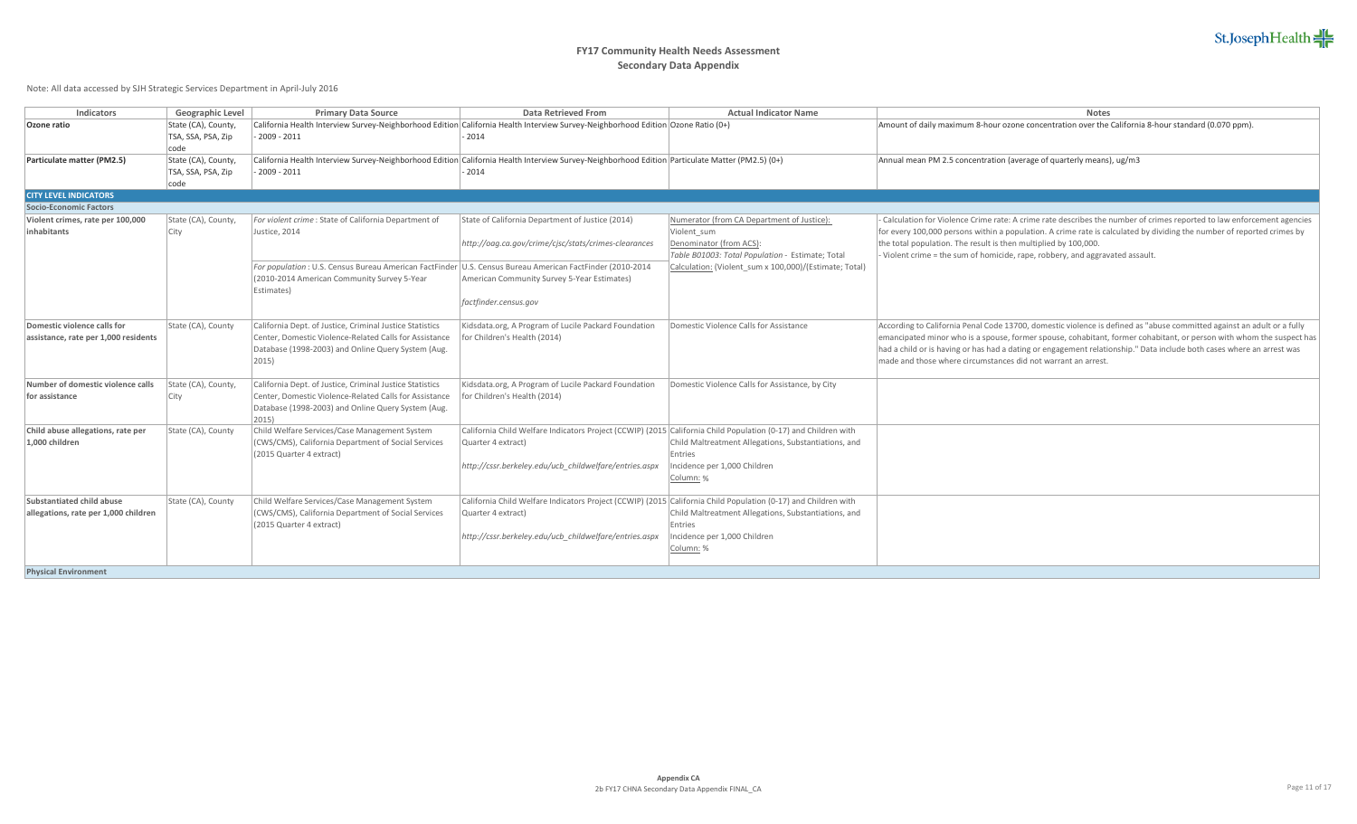

| Indicators                           | Geographic Level    | <b>Primary Data Source</b>                                                                                | <b>Data Retrieved From</b>                                                                                                                      | <b>Actual Indicator Name</b>                           | <b>Notes</b>                                                                                                           |
|--------------------------------------|---------------------|-----------------------------------------------------------------------------------------------------------|-------------------------------------------------------------------------------------------------------------------------------------------------|--------------------------------------------------------|------------------------------------------------------------------------------------------------------------------------|
|                                      |                     |                                                                                                           |                                                                                                                                                 |                                                        |                                                                                                                        |
| Ozone ratio                          | State (CA), County, |                                                                                                           | California Health Interview Survey-Neighborhood Edition California Health Interview Survey-Neighborhood Edition Ozone Ratio (0+)                |                                                        | Amount of daily maximum 8-hour ozone concentration over the California 8-hour standard (0.070 ppm).                    |
|                                      | TSA, SSA, PSA, Zip  | 2009 - 2011                                                                                               | 2014                                                                                                                                            |                                                        |                                                                                                                        |
|                                      | code                |                                                                                                           |                                                                                                                                                 |                                                        |                                                                                                                        |
| Particulate matter (PM2.5)           | State (CA), County, |                                                                                                           | California Health Interview Survey-Neighborhood Edition California Health Interview Survey-Neighborhood Edition Particulate Matter (PM2.5) (0+) |                                                        | Annual mean PM 2.5 concentration (average of quarterly means), ug/m3                                                   |
|                                      | TSA, SSA, PSA, Zip  | $-2009 - 2011$                                                                                            | 2014                                                                                                                                            |                                                        |                                                                                                                        |
|                                      | code                |                                                                                                           |                                                                                                                                                 |                                                        |                                                                                                                        |
| <b>CITY LEVEL INDICATORS</b>         |                     |                                                                                                           |                                                                                                                                                 |                                                        |                                                                                                                        |
| Socio-Economic Factors               |                     |                                                                                                           |                                                                                                                                                 |                                                        |                                                                                                                        |
| Violent crimes, rate per 100,000     | State (CA), County, | For violent crime : State of California Department of                                                     | State of California Department of Justice (2014)                                                                                                | Numerator (from CA Department of Justice):             | Calculation for Violence Crime rate: A crime rate describes the number of crimes reported to law enforcement agencies  |
| inhabitants                          | <b>City</b>         | Justice, 2014                                                                                             |                                                                                                                                                 | Violent sum                                            | for every 100,000 persons within a population. A crime rate is calculated by dividing the number of reported crimes by |
|                                      |                     |                                                                                                           | http://oag.ca.gov/crime/cjsc/stats/crimes-clearances                                                                                            | Denominator (from ACS):                                | the total population. The result is then multiplied by 100,000.                                                        |
|                                      |                     |                                                                                                           |                                                                                                                                                 | Table B01003: Total Population - Estimate; Total       | Violent crime = the sum of homicide, rape, robbery, and aggravated assault.                                            |
|                                      |                     | For population : U.S. Census Bureau American FactFinder U.S. Census Bureau American FactFinder (2010-2014 |                                                                                                                                                 | Calculation: (Violent sum x 100,000)/(Estimate; Total) |                                                                                                                        |
|                                      |                     | (2010-2014 American Community Survey 5-Year                                                               | American Community Survey 5-Year Estimates)                                                                                                     |                                                        |                                                                                                                        |
|                                      |                     |                                                                                                           |                                                                                                                                                 |                                                        |                                                                                                                        |
|                                      |                     | Estimates)                                                                                                |                                                                                                                                                 |                                                        |                                                                                                                        |
|                                      |                     |                                                                                                           | factfinder.census.gov                                                                                                                           |                                                        |                                                                                                                        |
| Domestic violence calls for          |                     |                                                                                                           |                                                                                                                                                 |                                                        |                                                                                                                        |
|                                      | State (CA), County  | California Dept. of Justice, Criminal Justice Statistics                                                  | Kidsdata.org, A Program of Lucile Packard Foundation                                                                                            | Domestic Violence Calls for Assistance                 | According to California Penal Code 13700, domestic violence is defined as "abuse committed against an adult or a fully |
| assistance, rate per 1,000 residents |                     | Center, Domestic Violence-Related Calls for Assistance                                                    | for Children's Health (2014)                                                                                                                    |                                                        | emancipated minor who is a spouse, former spouse, cohabitant, former cohabitant, or person with whom the suspect has   |
|                                      |                     | Database (1998-2003) and Online Query System (Aug.                                                        |                                                                                                                                                 |                                                        | had a child or is having or has had a dating or engagement relationship." Data include both cases where an arrest was  |
|                                      |                     | $ 2015\rangle$                                                                                            |                                                                                                                                                 |                                                        | made and those where circumstances did not warrant an arrest.                                                          |
|                                      |                     |                                                                                                           |                                                                                                                                                 |                                                        |                                                                                                                        |
| Number of domestic violence calls    | State (CA), County, | California Dept. of Justice, Criminal Justice Statistics                                                  | Kidsdata.org, A Program of Lucile Packard Foundation                                                                                            | Domestic Violence Calls for Assistance, by City        |                                                                                                                        |
| for assistance                       | <b>City</b>         | Center, Domestic Violence-Related Calls for Assistance                                                    | for Children's Health (2014)                                                                                                                    |                                                        |                                                                                                                        |
|                                      |                     | Database (1998-2003) and Online Query System (Aug.                                                        |                                                                                                                                                 |                                                        |                                                                                                                        |
|                                      |                     | 2015)                                                                                                     |                                                                                                                                                 |                                                        |                                                                                                                        |
| Child abuse allegations, rate per    | State (CA), County  | Child Welfare Services/Case Management System                                                             | California Child Welfare Indicators Project (CCWIP) (2015 California Child Population (0-17) and Children with                                  |                                                        |                                                                                                                        |
| 1.000 children                       |                     | (CWS/CMS), California Department of Social Services                                                       | Quarter 4 extract)                                                                                                                              | Child Maltreatment Allegations, Substantiations, and   |                                                                                                                        |
|                                      |                     | (2015 Quarter 4 extract)                                                                                  |                                                                                                                                                 | Entries                                                |                                                                                                                        |
|                                      |                     |                                                                                                           | http://cssr.berkeley.edu/ucb childwelfare/entries.aspx                                                                                          | Incidence per 1,000 Children                           |                                                                                                                        |
|                                      |                     |                                                                                                           |                                                                                                                                                 | Column: %                                              |                                                                                                                        |
|                                      |                     |                                                                                                           |                                                                                                                                                 |                                                        |                                                                                                                        |
| Substantiated child abuse            | State (CA), County  | Child Welfare Services/Case Management System                                                             | California Child Welfare Indicators Project (CCWIP) (2015 California Child Population (0-17) and Children with                                  |                                                        |                                                                                                                        |
| allegations, rate per 1,000 children |                     | (CWS/CMS), California Department of Social Services                                                       | Quarter 4 extract)                                                                                                                              | Child Maltreatment Allegations, Substantiations, and   |                                                                                                                        |
|                                      |                     | (2015 Quarter 4 extract)                                                                                  |                                                                                                                                                 | Entries                                                |                                                                                                                        |
|                                      |                     |                                                                                                           | http://cssr.berkeley.edu/ucb childwelfare/entries.aspx                                                                                          | ncidence per 1,000 Children                            |                                                                                                                        |
|                                      |                     |                                                                                                           |                                                                                                                                                 | Column: %                                              |                                                                                                                        |
|                                      |                     |                                                                                                           |                                                                                                                                                 |                                                        |                                                                                                                        |
| <b>Physical Environment</b>          |                     |                                                                                                           |                                                                                                                                                 |                                                        |                                                                                                                        |
|                                      |                     |                                                                                                           |                                                                                                                                                 |                                                        |                                                                                                                        |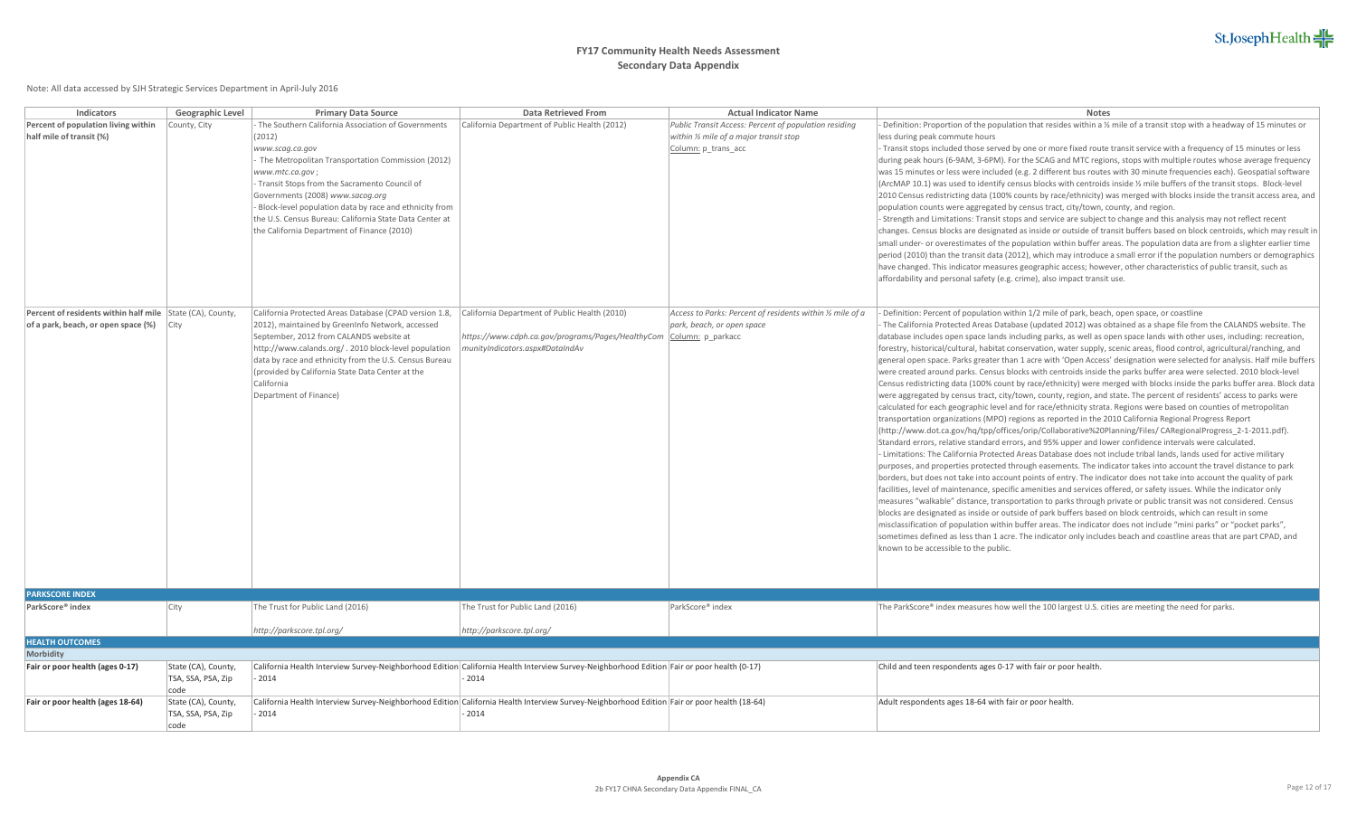| <b>Indicators</b>                                         | Geographic Level    | <b>Primary Data Source</b>                              | Data Retrieved From                                                                                                                         | <b>Actual Indicator Name</b>                               | <b>Notes</b>                                                                                                                                                                                                                                  |
|-----------------------------------------------------------|---------------------|---------------------------------------------------------|---------------------------------------------------------------------------------------------------------------------------------------------|------------------------------------------------------------|-----------------------------------------------------------------------------------------------------------------------------------------------------------------------------------------------------------------------------------------------|
| Percent of population living within                       | County, City        | The Southern California Association of Governments      | California Department of Public Health (2012)                                                                                               | Public Transit Access: Percent of population residing      | Definition: Proportion of the population that resides within a $\frac{1}{2}$ mile of a transit stop with a headway of 15 minutes or                                                                                                           |
| half mile of transit (%)                                  |                     | (2012)                                                  |                                                                                                                                             | within 1/2 mile of a major transit stop                    | less during peak commute hours                                                                                                                                                                                                                |
|                                                           |                     | www.scag.ca.gov                                         |                                                                                                                                             | Column: p_trans_acc                                        | Transit stops included those served by one or more fixed route transit service with a frequency of 15 minutes or less                                                                                                                         |
|                                                           |                     | The Metropolitan Transportation Commission (2012)       |                                                                                                                                             |                                                            | during peak hours (6-9AM, 3-6PM). For the SCAG and MTC regions, stops with multiple routes whose average frequency                                                                                                                            |
|                                                           |                     | www.mtc.ca.gov;                                         |                                                                                                                                             |                                                            | was 15 minutes or less were included (e.g. 2 different bus routes with 30 minute frequencies each). Geospatial software                                                                                                                       |
|                                                           |                     | Transit Stops from the Sacramento Council of            |                                                                                                                                             |                                                            | (ArcMAP 10.1) was used to identify census blocks with centroids inside $\frac{1}{2}$ mile buffers of the transit stops. Block-level                                                                                                           |
|                                                           |                     | Governments (2008) www.sacog.org                        |                                                                                                                                             |                                                            | 2010 Census redistricting data (100% counts by race/ethnicity) was merged with blocks inside the transit access area, and                                                                                                                     |
|                                                           |                     | Block-level population data by race and ethnicity from  |                                                                                                                                             |                                                            | population counts were aggregated by census tract, city/town, county, and region.                                                                                                                                                             |
|                                                           |                     | the U.S. Census Bureau: California State Data Center at |                                                                                                                                             |                                                            | - Strength and Limitations: Transit stops and service are subject to change and this analysis may not reflect recent                                                                                                                          |
|                                                           |                     | the California Department of Finance (2010)             |                                                                                                                                             |                                                            | changes. Census blocks are designated as inside or outside of transit buffers based on block centroids, which may result in                                                                                                                   |
|                                                           |                     |                                                         |                                                                                                                                             |                                                            | small under- or overestimates of the population within buffer areas. The population data are from a slighter earlier time                                                                                                                     |
|                                                           |                     |                                                         |                                                                                                                                             |                                                            | period (2010) than the transit data (2012), which may introduce a small error if the population numbers or demographics<br>have changed. This indicator measures geographic access; however, other characteristics of public transit, such as |
|                                                           |                     |                                                         |                                                                                                                                             |                                                            | affordability and personal safety (e.g. crime), also impact transit use.                                                                                                                                                                      |
|                                                           |                     |                                                         |                                                                                                                                             |                                                            |                                                                                                                                                                                                                                               |
|                                                           |                     |                                                         |                                                                                                                                             |                                                            |                                                                                                                                                                                                                                               |
| Percent of residents within half mile State (CA), County, |                     | California Protected Areas Database (CPAD version 1.8,  | California Department of Public Health (2010)                                                                                               | Access to Parks: Percent of residents within 1/2 mile of a | Definition: Percent of population within 1/2 mile of park, beach, open space, or coastline                                                                                                                                                    |
| of a park, beach, or open space (%)                       | City                | 2012), maintained by GreenInfo Network, accessed        |                                                                                                                                             | park, beach, or open space                                 | The California Protected Areas Database (updated 2012) was obtained as a shape file from the CALANDS website. The                                                                                                                             |
|                                                           |                     | September, 2012 from CALANDS website at                 | https://www.cdph.ca.gov/programs/Pages/HealthyCom   Column: p_parkacc                                                                       |                                                            | database includes open space lands including parks, as well as open space lands with other uses, including: recreation,                                                                                                                       |
|                                                           |                     | http://www.calands.org/. 2010 block-level population    | munityIndicators.aspx#DataIndAv                                                                                                             |                                                            | forestry, historical/cultural, habitat conservation, water supply, scenic areas, flood control, agricultural/ranching, and                                                                                                                    |
|                                                           |                     | data by race and ethnicity from the U.S. Census Bureau  |                                                                                                                                             |                                                            | general open space. Parks greater than 1 acre with 'Open Access' designation were selected for analysis. Half mile buffers                                                                                                                    |
|                                                           |                     | (provided by California State Data Center at the        |                                                                                                                                             |                                                            | were created around parks. Census blocks with centroids inside the parks buffer area were selected. 2010 block-level                                                                                                                          |
|                                                           |                     | California                                              |                                                                                                                                             |                                                            | Census redistricting data (100% count by race/ethnicity) were merged with blocks inside the parks buffer area. Block data                                                                                                                     |
|                                                           |                     | Department of Finance)                                  |                                                                                                                                             |                                                            | were aggregated by census tract, city/town, county, region, and state. The percent of residents' access to parks were                                                                                                                         |
|                                                           |                     |                                                         |                                                                                                                                             |                                                            | calculated for each geographic level and for race/ethnicity strata. Regions were based on counties of metropolitan                                                                                                                            |
|                                                           |                     |                                                         |                                                                                                                                             |                                                            | transportation organizations (MPO) regions as reported in the 2010 California Regional Progress Report                                                                                                                                        |
|                                                           |                     |                                                         |                                                                                                                                             |                                                            | (http://www.dot.ca.gov/hq/tpp/offices/orip/Collaborative%20Planning/Files/ CARegionalProgress_2-1-2011.pdf).                                                                                                                                  |
|                                                           |                     |                                                         |                                                                                                                                             |                                                            | Standard errors, relative standard errors, and 95% upper and lower confidence intervals were calculated.                                                                                                                                      |
|                                                           |                     |                                                         |                                                                                                                                             |                                                            | - Limitations: The California Protected Areas Database does not include tribal lands, lands used for active military<br>purposes, and properties protected through easements. The indicator takes into account the travel distance to park    |
|                                                           |                     |                                                         |                                                                                                                                             |                                                            | borders, but does not take into account points of entry. The indicator does not take into account the quality of park                                                                                                                         |
|                                                           |                     |                                                         |                                                                                                                                             |                                                            | facilities, level of maintenance, specific amenities and services offered, or safety issues. While the indicator only                                                                                                                         |
|                                                           |                     |                                                         |                                                                                                                                             |                                                            | measures "walkable" distance, transportation to parks through private or public transit was not considered. Census                                                                                                                            |
|                                                           |                     |                                                         |                                                                                                                                             |                                                            | blocks are designated as inside or outside of park buffers based on block centroids, which can result in some                                                                                                                                 |
|                                                           |                     |                                                         |                                                                                                                                             |                                                            | misclassification of population within buffer areas. The indicator does not include "mini parks" or "pocket parks",                                                                                                                           |
|                                                           |                     |                                                         |                                                                                                                                             |                                                            | sometimes defined as less than 1 acre. The indicator only includes beach and coastline areas that are part CPAD, and                                                                                                                          |
|                                                           |                     |                                                         |                                                                                                                                             |                                                            | known to be accessible to the public.                                                                                                                                                                                                         |
|                                                           |                     |                                                         |                                                                                                                                             |                                                            |                                                                                                                                                                                                                                               |
|                                                           |                     |                                                         |                                                                                                                                             |                                                            |                                                                                                                                                                                                                                               |
|                                                           |                     |                                                         |                                                                                                                                             |                                                            |                                                                                                                                                                                                                                               |
| <b>PARKSCORE INDEX</b>                                    |                     |                                                         |                                                                                                                                             |                                                            |                                                                                                                                                                                                                                               |
| ParkScore® index                                          | City                | The Trust for Public Land (2016)                        | The Trust for Public Land (2016)                                                                                                            | ParkScore® index                                           | The ParkScore® index measures how well the 100 largest U.S. cities are meeting the need for parks.                                                                                                                                            |
|                                                           |                     | http://parkscore.tpl.org/                               | http://parkscore.tpl.org/                                                                                                                   |                                                            |                                                                                                                                                                                                                                               |
| <b>HEALTH OUTCOMES</b>                                    |                     |                                                         |                                                                                                                                             |                                                            |                                                                                                                                                                                                                                               |
| Morbidity                                                 |                     |                                                         |                                                                                                                                             |                                                            |                                                                                                                                                                                                                                               |
| Fair or poor health (ages 0-17)                           | State (CA), County, |                                                         | California Health Interview Survey-Neighborhood Edition California Health Interview Survey-Neighborhood Edition Fair or poor health (0-17)  |                                                            | Child and teen respondents ages 0-17 with fair or poor health                                                                                                                                                                                 |
|                                                           | TSA, SSA, PSA, Zip  | 2014                                                    | $-2014$                                                                                                                                     |                                                            |                                                                                                                                                                                                                                               |
|                                                           | code                |                                                         |                                                                                                                                             |                                                            |                                                                                                                                                                                                                                               |
| Fair or poor health (ages 18-64)                          | State (CA), County, |                                                         | California Health Interview Survey-Neighborhood Edition California Health Interview Survey-Neighborhood Edition Fair or poor health (18-64) |                                                            | Adult respondents ages 18-64 with fair or poor health.                                                                                                                                                                                        |
|                                                           | TSA, SSA, PSA, Zip  | $-2014$                                                 | $-2014$                                                                                                                                     |                                                            |                                                                                                                                                                                                                                               |
|                                                           | code                |                                                         |                                                                                                                                             |                                                            |                                                                                                                                                                                                                                               |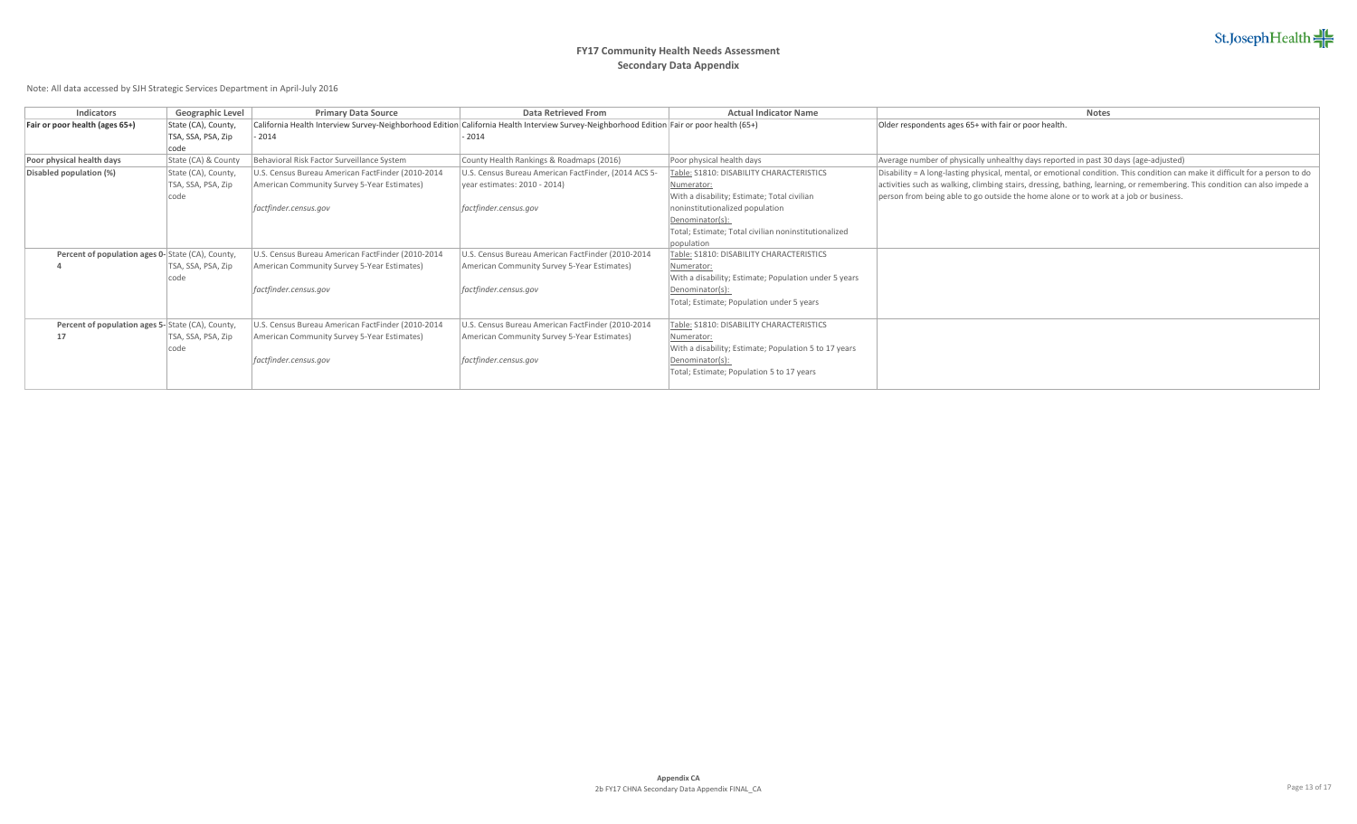## **FY17 Community Health Needs Assessment Secondary Data Appendix**

| Indicators                                       | Geographic Level    | <b>Primary Data Source</b>                                                                                                                | Data Retrieved From                                  | <b>Actual Indicator Name</b>                          | <b>Notes</b>                                                                                                                  |
|--------------------------------------------------|---------------------|-------------------------------------------------------------------------------------------------------------------------------------------|------------------------------------------------------|-------------------------------------------------------|-------------------------------------------------------------------------------------------------------------------------------|
| Fair or poor health (ages 65+)                   | State (CA), County, | California Health Interview Survey-Neighborhood Edition California Health Interview Survey-Neighborhood Edition Fair or poor health (65+) |                                                      |                                                       | Older respondents ages 65+ with fair or poor health.                                                                          |
|                                                  | TSA, SSA, PSA, Zip  | $-2014$                                                                                                                                   | $-2014$                                              |                                                       |                                                                                                                               |
|                                                  | code                |                                                                                                                                           |                                                      |                                                       |                                                                                                                               |
| Poor physical health days                        | State (CA) & County | Behavioral Risk Factor Surveillance System                                                                                                | County Health Rankings & Roadmaps (2016)             | Poor physical health days                             | Average number of physically unhealthy days reported in past 30 days (age-adjusted)                                           |
| Disabled population (%)                          | State (CA), County, | U.S. Census Bureau American FactFinder (2010-2014                                                                                         | U.S. Census Bureau American FactFinder, (2014 ACS 5- | Table: S1810: DISABILITY CHARACTERISTICS              | Disability = A long-lasting physical, mental, or emotional condition. This condition can make it difficult for a person to do |
|                                                  | TSA, SSA, PSA, Zip  | American Community Survey 5-Year Estimates)                                                                                               | vear estimates: 2010 - 2014)                         | Numerator:                                            | activities such as walking, climbing stairs, dressing, bathing, learning, or remembering. This condition can also impede a    |
|                                                  | code                |                                                                                                                                           |                                                      | With a disability; Estimate; Total civilian           | person from being able to go outside the home alone or to work at a job or business.                                          |
|                                                  |                     | factfinder.census.gov                                                                                                                     | factfinder.census.gov                                | noninstitutionalized population                       |                                                                                                                               |
|                                                  |                     |                                                                                                                                           |                                                      | Denominator(s):                                       |                                                                                                                               |
|                                                  |                     |                                                                                                                                           |                                                      | Total; Estimate; Total civilian noninstitutionalized  |                                                                                                                               |
|                                                  |                     |                                                                                                                                           |                                                      | population                                            |                                                                                                                               |
| Percent of population ages 0-State (CA), County, |                     | U.S. Census Bureau American FactFinder (2010-2014                                                                                         | U.S. Census Bureau American FactFinder (2010-2014    | Table: \$1810: DISABILITY CHARACTERISTICS             |                                                                                                                               |
|                                                  | TSA, SSA, PSA, Zip  | American Community Survey 5-Year Estimates)                                                                                               | American Community Survey 5-Year Estimates)          | Numerator:                                            |                                                                                                                               |
|                                                  | code                |                                                                                                                                           |                                                      | With a disability; Estimate; Population under 5 years |                                                                                                                               |
|                                                  |                     | factfinder.census.gov                                                                                                                     | factfinder.census.gov                                | Denominator(s):                                       |                                                                                                                               |
|                                                  |                     |                                                                                                                                           |                                                      | Total; Estimate; Population under 5 years             |                                                                                                                               |
|                                                  |                     |                                                                                                                                           |                                                      |                                                       |                                                                                                                               |
| Percent of population ages 5-State (CA), County, |                     | U.S. Census Bureau American FactFinder (2010-2014                                                                                         | U.S. Census Bureau American FactFinder (2010-2014    | Table: S1810: DISABILITY CHARACTERISTICS              |                                                                                                                               |
| 17                                               | TSA, SSA, PSA, Zip  | American Community Survey 5-Year Estimates)                                                                                               | American Community Survey 5-Year Estimates)          | Numerator:                                            |                                                                                                                               |
|                                                  | code                |                                                                                                                                           |                                                      | With a disability; Estimate; Population 5 to 17 years |                                                                                                                               |
|                                                  |                     | factfinder.census.gov                                                                                                                     | factfinder.census.gov                                | Denominator(s):                                       |                                                                                                                               |
|                                                  |                     |                                                                                                                                           |                                                      | Total; Estimate; Population 5 to 17 years             |                                                                                                                               |
|                                                  |                     |                                                                                                                                           |                                                      |                                                       |                                                                                                                               |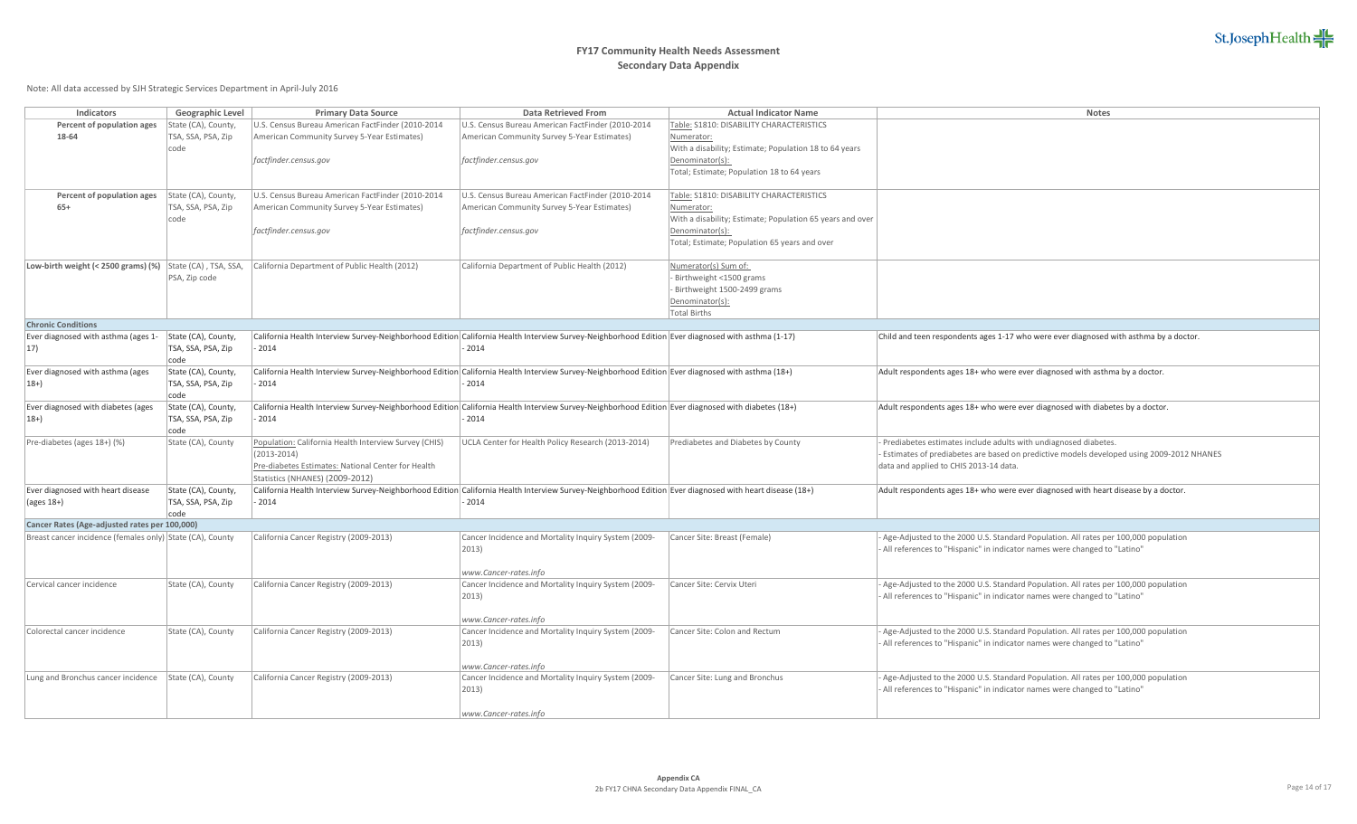

| Indicators                                                | Geographic Level           | <b>Primary Data Source</b>                                                                                                                              | Data Retrieved From                                                                                                                                | <b>Actual Indicator Name</b>                              | <b>Notes</b>                                                                                                                                                    |
|-----------------------------------------------------------|----------------------------|---------------------------------------------------------------------------------------------------------------------------------------------------------|----------------------------------------------------------------------------------------------------------------------------------------------------|-----------------------------------------------------------|-----------------------------------------------------------------------------------------------------------------------------------------------------------------|
| Percent of population ages                                | State (CA), County,        | U.S. Census Bureau American FactFinder (2010-2014                                                                                                       | U.S. Census Bureau American FactFinder (2010-2014                                                                                                  | Table: \$1810: DISABILITY CHARACTERISTICS                 |                                                                                                                                                                 |
| 18-64                                                     | TSA, SSA, PSA, Zip         | American Community Survey 5-Year Estimates)                                                                                                             | American Community Survey 5-Year Estimates)                                                                                                        | Numerator:                                                |                                                                                                                                                                 |
|                                                           | code                       |                                                                                                                                                         |                                                                                                                                                    | With a disability; Estimate; Population 18 to 64 years    |                                                                                                                                                                 |
|                                                           |                            | factfinder.census.gov                                                                                                                                   | factfinder.census.gov                                                                                                                              | Denominator(s):                                           |                                                                                                                                                                 |
|                                                           |                            |                                                                                                                                                         |                                                                                                                                                    | Total; Estimate; Population 18 to 64 years                |                                                                                                                                                                 |
| Percent of population ages                                | State (CA), County,        | U.S. Census Bureau American FactFinder (2010-2014                                                                                                       | U.S. Census Bureau American FactFinder (2010-2014                                                                                                  | Table: S1810: DISABILITY CHARACTERISTICS                  |                                                                                                                                                                 |
| $65+$                                                     | TSA, SSA, PSA, Zip         | American Community Survey 5-Year Estimates)                                                                                                             | American Community Survey 5-Year Estimates)                                                                                                        | Numerator:                                                |                                                                                                                                                                 |
|                                                           | code                       |                                                                                                                                                         |                                                                                                                                                    | With a disability; Estimate; Population 65 years and over |                                                                                                                                                                 |
|                                                           |                            | factfinder.census.gov                                                                                                                                   | factfinder.census.gov                                                                                                                              | Denominator(s):                                           |                                                                                                                                                                 |
|                                                           |                            |                                                                                                                                                         |                                                                                                                                                    | Total; Estimate; Population 65 years and over             |                                                                                                                                                                 |
| Low-birth weight (< 2500 grams) (%) State (CA), TSA, SSA, |                            | California Department of Public Health (2012)                                                                                                           | California Department of Public Health (2012)                                                                                                      | Numerator(s) Sum of:                                      |                                                                                                                                                                 |
|                                                           | PSA, Zip code              |                                                                                                                                                         |                                                                                                                                                    | Birthweight <1500 grams                                   |                                                                                                                                                                 |
|                                                           |                            |                                                                                                                                                         |                                                                                                                                                    | Birthweight 1500-2499 grams                               |                                                                                                                                                                 |
|                                                           |                            |                                                                                                                                                         |                                                                                                                                                    | Denominator(s):                                           |                                                                                                                                                                 |
|                                                           |                            |                                                                                                                                                         |                                                                                                                                                    | <b>Total Births</b>                                       |                                                                                                                                                                 |
| <b>Chronic Conditions</b>                                 |                            |                                                                                                                                                         |                                                                                                                                                    |                                                           |                                                                                                                                                                 |
| Ever diagnosed with asthma (ages 1-                       | State (CA), County,        |                                                                                                                                                         | California Health Interview Survey-Neighborhood Edition California Health Interview Survey-Neighborhood Edition Ever diagnosed with asthma (1-17)  |                                                           | Child and teen respondents ages 1-17 who were ever diagnosed with asthma by a doctor.                                                                           |
| 17)                                                       | TSA, SSA, PSA, Zip         | 2014                                                                                                                                                    | 2014                                                                                                                                               |                                                           |                                                                                                                                                                 |
|                                                           | code                       |                                                                                                                                                         |                                                                                                                                                    |                                                           |                                                                                                                                                                 |
| Ever diagnosed with asthma (ages                          | State (CA), County,        |                                                                                                                                                         | California Health Interview Survey-Neighborhood Edition California Health Interview Survey-Neighborhood Edition Ever diagnosed with asthma (18+)   |                                                           | Adult respondents ages 18+ who were ever diagnosed with asthma by a doctor.                                                                                     |
| $18+$                                                     | TSA, SSA, PSA, Zip         | 2014                                                                                                                                                    | 2014                                                                                                                                               |                                                           |                                                                                                                                                                 |
|                                                           | code                       |                                                                                                                                                         |                                                                                                                                                    |                                                           |                                                                                                                                                                 |
| Ever diagnosed with diabetes (ages<br>$ 18+ \rangle$      | State (CA), County,        |                                                                                                                                                         | California Health Interview Survey-Neighborhood Edition California Health Interview Survey-Neighborhood Edition Ever diagnosed with diabetes (18+) |                                                           | Adult respondents ages 18+ who were ever diagnosed with diabetes by a doctor.                                                                                   |
|                                                           | TSA, SSA, PSA, Zip<br>code | 2014                                                                                                                                                    | 2014                                                                                                                                               |                                                           |                                                                                                                                                                 |
| Pre-diabetes (ages 18+) (%)                               | State (CA), County         | Population: California Health Interview Survey (CHIS)                                                                                                   | UCLA Center for Health Policy Research (2013-2014)                                                                                                 | Prediabetes and Diabetes by County                        | Prediabetes estimates include adults with undiagnosed diabetes.                                                                                                 |
|                                                           |                            | $(2013 - 2014)$                                                                                                                                         |                                                                                                                                                    |                                                           | Estimates of prediabetes are based on predictive models developed using 2009-2012 NHANES                                                                        |
|                                                           |                            | Pre-diabetes Estimates: National Center for Health                                                                                                      |                                                                                                                                                    |                                                           | data and applied to CHIS 2013-14 data.                                                                                                                          |
|                                                           |                            | Statistics (NHANES) (2009-2012)                                                                                                                         |                                                                                                                                                    |                                                           |                                                                                                                                                                 |
| Ever diagnosed with heart disease                         | State (CA), County,        | California Health Interview Survey-Neighborhood Edition California Health Interview Survey-Neighborhood Edition Ever diagnosed with heart disease (18+) |                                                                                                                                                    |                                                           | Adult respondents ages 18+ who were ever diagnosed with heart disease by a doctor.                                                                              |
| $(\text{ages }18+)$                                       | TSA, SSA, PSA, Zip         | 2014                                                                                                                                                    | 2014                                                                                                                                               |                                                           |                                                                                                                                                                 |
|                                                           | code                       |                                                                                                                                                         |                                                                                                                                                    |                                                           |                                                                                                                                                                 |
| Cancer Rates (Age-adjusted rates per 100,000)             |                            |                                                                                                                                                         |                                                                                                                                                    |                                                           |                                                                                                                                                                 |
| Breast cancer incidence (females only) State (CA), County |                            | California Cancer Registry (2009-2013)                                                                                                                  | Cancer Incidence and Mortality Inquiry System (2009-                                                                                               | Cancer Site: Breast (Female)                              | Age-Adjusted to the 2000 U.S. Standard Population. All rates per 100,000 population                                                                             |
|                                                           |                            |                                                                                                                                                         | 2013)                                                                                                                                              |                                                           | All references to "Hispanic" in indicator names were changed to "Latino"                                                                                        |
|                                                           |                            |                                                                                                                                                         |                                                                                                                                                    |                                                           |                                                                                                                                                                 |
| Cervical cancer incidence                                 |                            |                                                                                                                                                         | www.Cancer-rates.info                                                                                                                              | Cancer Site: Cervix Uteri                                 |                                                                                                                                                                 |
|                                                           | State (CA), County         | California Cancer Registry (2009-2013)                                                                                                                  | Cancer Incidence and Mortality Inquiry System (2009-<br>$ 2013\rangle$                                                                             |                                                           | Age-Adjusted to the 2000 U.S. Standard Population. All rates per 100,000 population<br>All references to "Hispanic" in indicator names were changed to "Latino" |
|                                                           |                            |                                                                                                                                                         |                                                                                                                                                    |                                                           |                                                                                                                                                                 |
|                                                           |                            |                                                                                                                                                         | www.Cancer-rates.info                                                                                                                              |                                                           |                                                                                                                                                                 |
| Colorectal cancer incidence                               | State (CA), County         | California Cancer Registry (2009-2013)                                                                                                                  | Cancer Incidence and Mortality Inquiry System (2009-                                                                                               | Cancer Site: Colon and Rectum                             | Age-Adjusted to the 2000 U.S. Standard Population. All rates per 100,000 population                                                                             |
|                                                           |                            |                                                                                                                                                         | $ 2013\rangle$                                                                                                                                     |                                                           | All references to "Hispanic" in indicator names were changed to "Latino"                                                                                        |
|                                                           |                            |                                                                                                                                                         |                                                                                                                                                    |                                                           |                                                                                                                                                                 |
|                                                           |                            |                                                                                                                                                         | www.Cancer-rates.info                                                                                                                              |                                                           |                                                                                                                                                                 |
| Lung and Bronchus cancer incidence                        | State (CA), County         | California Cancer Registry (2009-2013)                                                                                                                  | Cancer Incidence and Mortality Inquiry System (2009-                                                                                               | Cancer Site: Lung and Bronchus                            | Age-Adjusted to the 2000 U.S. Standard Population. All rates per 100,000 population                                                                             |
|                                                           |                            |                                                                                                                                                         | $ 2013\rangle$                                                                                                                                     |                                                           | All references to "Hispanic" in indicator names were changed to "Latino"                                                                                        |
|                                                           |                            |                                                                                                                                                         |                                                                                                                                                    |                                                           |                                                                                                                                                                 |
|                                                           |                            |                                                                                                                                                         | www.Cancer-rates.info                                                                                                                              |                                                           |                                                                                                                                                                 |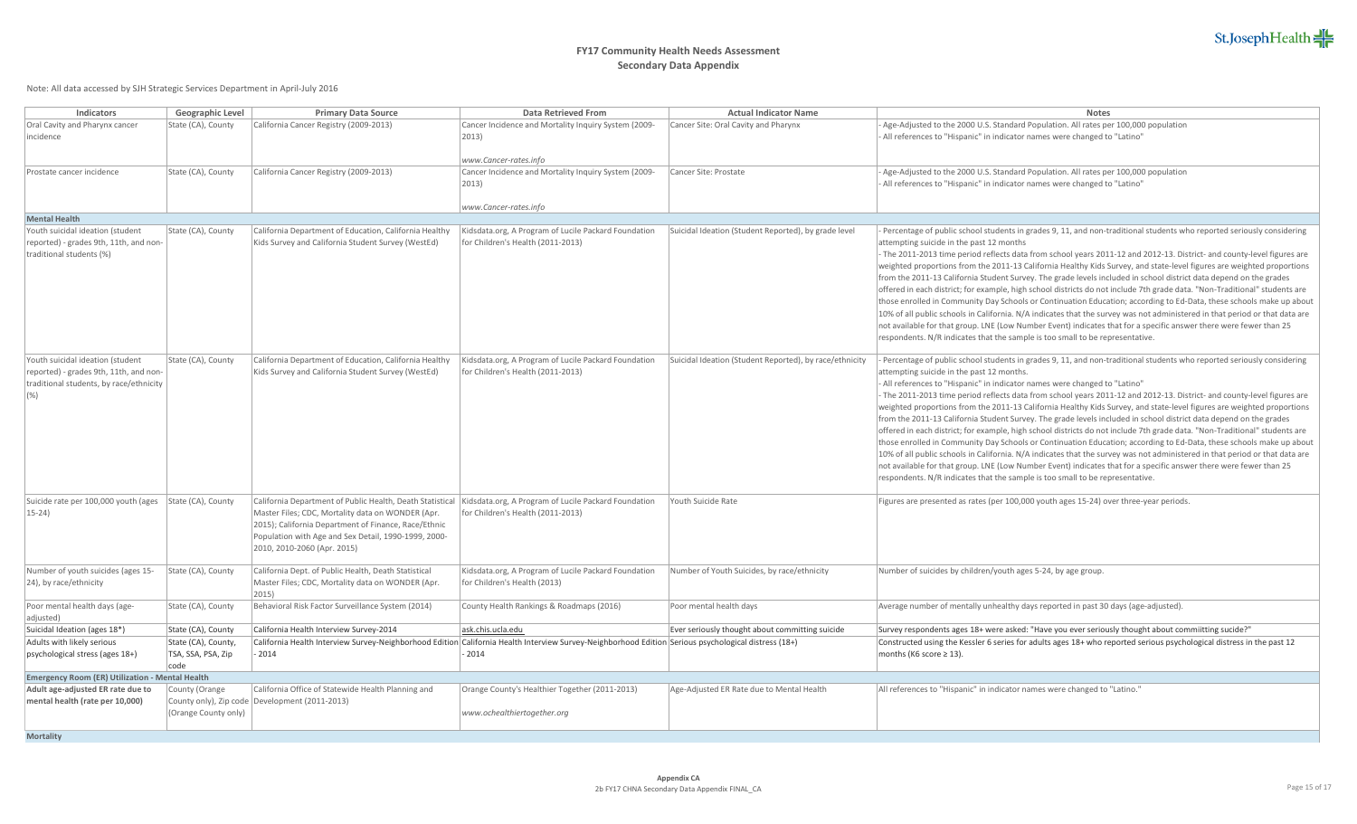

| Indicators                                                                                                                    | Geographic Level                                  | <b>Primary Data Source</b>                                                                                                                                                                                                                                                                                         | <b>Data Retrieved From</b>                                                                | <b>Actual Indicator Name</b>                            | <b>Notes</b>                                                                                                                                                                                                                                                                                                                                                                                                                                                                                                                                                                                                                                                                                                                                                                                                                                                                                                                                                                                                                                                                                                                                                                                                        |  |  |
|-------------------------------------------------------------------------------------------------------------------------------|---------------------------------------------------|--------------------------------------------------------------------------------------------------------------------------------------------------------------------------------------------------------------------------------------------------------------------------------------------------------------------|-------------------------------------------------------------------------------------------|---------------------------------------------------------|---------------------------------------------------------------------------------------------------------------------------------------------------------------------------------------------------------------------------------------------------------------------------------------------------------------------------------------------------------------------------------------------------------------------------------------------------------------------------------------------------------------------------------------------------------------------------------------------------------------------------------------------------------------------------------------------------------------------------------------------------------------------------------------------------------------------------------------------------------------------------------------------------------------------------------------------------------------------------------------------------------------------------------------------------------------------------------------------------------------------------------------------------------------------------------------------------------------------|--|--|
| Oral Cavity and Pharynx cancer<br>incidence                                                                                   | State (CA), County                                | California Cancer Registry (2009-2013)                                                                                                                                                                                                                                                                             | Cancer Incidence and Mortality Inquiry System (2009-<br>2013)<br>www.Cancer-rates.info    | Cancer Site: Oral Cavity and Pharynx                    | Age-Adjusted to the 2000 U.S. Standard Population. All rates per 100,000 population<br>All references to "Hispanic" in indicator names were changed to "Latino"                                                                                                                                                                                                                                                                                                                                                                                                                                                                                                                                                                                                                                                                                                                                                                                                                                                                                                                                                                                                                                                     |  |  |
| Prostate cancer incidence                                                                                                     | State (CA), County                                | California Cancer Registry (2009-2013)                                                                                                                                                                                                                                                                             | Cancer Incidence and Mortality Inquiry System (2009-<br>2013)<br>www.Cancer-rates.info    | Cancer Site: Prostate                                   | Age-Adjusted to the 2000 U.S. Standard Population. All rates per 100,000 population<br>All references to "Hispanic" in indicator names were changed to "Latino"                                                                                                                                                                                                                                                                                                                                                                                                                                                                                                                                                                                                                                                                                                                                                                                                                                                                                                                                                                                                                                                     |  |  |
| <b>Mental Health</b>                                                                                                          |                                                   |                                                                                                                                                                                                                                                                                                                    |                                                                                           |                                                         |                                                                                                                                                                                                                                                                                                                                                                                                                                                                                                                                                                                                                                                                                                                                                                                                                                                                                                                                                                                                                                                                                                                                                                                                                     |  |  |
| Youth suicidal ideation (student<br>reported) - grades 9th, 11th, and non-<br>traditional students (%)                        | State (CA), County                                | California Department of Education, California Healthy<br>Kids Survey and California Student Survey (WestEd)                                                                                                                                                                                                       | Kidsdata.org, A Program of Lucile Packard Foundation<br>for Children's Health (2011-2013) | Suicidal Ideation (Student Reported), by grade level    | Percentage of public school students in grades 9, 11, and non-traditional students who reported seriously considering<br>attempting suicide in the past 12 months<br>The 2011-2013 time period reflects data from school years 2011-12 and 2012-13. District- and county-level figures are<br>weighted proportions from the 2011-13 California Healthy Kids Survey, and state-level figures are weighted proportions<br>from the 2011-13 California Student Survey. The grade levels included in school district data depend on the grades<br>offered in each district; for example, high school districts do not include 7th grade data. "Non-Traditional" students are<br>those enrolled in Community Day Schools or Continuation Education; according to Ed-Data, these schools make up about<br>10% of all public schools in California. N/A indicates that the survey was not administered in that period or that data are<br>not available for that group. LNE (Low Number Event) indicates that for a specific answer there were fewer than 25<br>respondents. N/R indicates that the sample is too small to be representative.                                                                              |  |  |
| Youth suicidal ideation (student<br>reported) - grades 9th, 11th, and non-<br>traditional students, by race/ethnicity<br>(% ) | State (CA), County                                | California Department of Education, California Healthy<br>Kids Survey and California Student Survey (WestEd)                                                                                                                                                                                                       | Kidsdata.org, A Program of Lucile Packard Foundation<br>for Children's Health (2011-2013) | Suicidal Ideation (Student Reported), by race/ethnicity | Percentage of public school students in grades 9, 11, and non-traditional students who reported seriously considering<br>attempting suicide in the past 12 months.<br>All references to "Hispanic" in indicator names were changed to "Latino"<br>The 2011-2013 time period reflects data from school years 2011-12 and 2012-13. District- and county-level figures are<br>weighted proportions from the 2011-13 California Healthy Kids Survey, and state-level figures are weighted proportions<br>from the 2011-13 California Student Survey. The grade levels included in school district data depend on the grades<br>offered in each district; for example, high school districts do not include 7th grade data. "Non-Traditional" students are<br>those enrolled in Community Day Schools or Continuation Education; according to Ed-Data, these schools make up about<br>10% of all public schools in California. N/A indicates that the survey was not administered in that period or that data are<br>not available for that group. LNE (Low Number Event) indicates that for a specific answer there were fewer than 25<br>respondents. N/R indicates that the sample is too small to be representative. |  |  |
| Suicide rate per 100,000 youth (ages   State (CA), County<br>$15-24$                                                          |                                                   | California Department of Public Health, Death Statistical Kidsdata.org, A Program of Lucile Packard Foundation<br>Master Files; CDC, Mortality data on WONDER (Apr.<br>2015); California Department of Finance, Race/Ethnic<br>Population with Age and Sex Detail, 1990-1999, 2000-<br>2010, 2010-2060 (Apr. 2015) | for Children's Health (2011-2013)                                                         | Youth Suicide Rate                                      | Figures are presented as rates (per 100,000 youth ages 15-24) over three-year periods.                                                                                                                                                                                                                                                                                                                                                                                                                                                                                                                                                                                                                                                                                                                                                                                                                                                                                                                                                                                                                                                                                                                              |  |  |
| Number of youth suicides (ages 15-<br>[24], by race/ethnicity                                                                 | State (CA), County                                | California Dept. of Public Health, Death Statistical<br>Master Files; CDC, Mortality data on WONDER (Apr.<br>2015)                                                                                                                                                                                                 | Kidsdata.org, A Program of Lucile Packard Foundation<br>for Children's Health (2013)      | Number of Youth Suicides, by race/ethnicity             | Number of suicides by children/youth ages 5-24, by age group.                                                                                                                                                                                                                                                                                                                                                                                                                                                                                                                                                                                                                                                                                                                                                                                                                                                                                                                                                                                                                                                                                                                                                       |  |  |
| Poor mental health days (age-<br>adjusted)                                                                                    | State (CA), County                                | Behavioral Risk Factor Surveillance System (2014)                                                                                                                                                                                                                                                                  | County Health Rankings & Roadmaps (2016)                                                  | Poor mental health days                                 | Average number of mentally unhealthy days reported in past 30 days (age-adjusted).                                                                                                                                                                                                                                                                                                                                                                                                                                                                                                                                                                                                                                                                                                                                                                                                                                                                                                                                                                                                                                                                                                                                  |  |  |
| Suicidal Ideation (ages 18*)                                                                                                  | State (CA), County                                | California Health Interview Survey-2014                                                                                                                                                                                                                                                                            | ask.chis.ucla.edu                                                                         | Ever seriously thought about committing suicide         | Survey respondents ages 18+ were asked: "Have you ever seriously thought about commiitting sucide?"                                                                                                                                                                                                                                                                                                                                                                                                                                                                                                                                                                                                                                                                                                                                                                                                                                                                                                                                                                                                                                                                                                                 |  |  |
| Adults with likely serious<br>psychological stress (ages 18+)                                                                 | State (CA), County,<br>TSA, SSA, PSA, Zip<br>code | California Health Interview Survey-Neighborhood Edition California Health Interview Survey-Neighborhood Edition Serious psychological distress (18+)<br>$-2014$                                                                                                                                                    | 2014                                                                                      |                                                         | Constructed using the Kessler 6 series for adults ages 18+ who reported serious psychological distress in the past 12<br>months (K6 score $\geq$ 13).                                                                                                                                                                                                                                                                                                                                                                                                                                                                                                                                                                                                                                                                                                                                                                                                                                                                                                                                                                                                                                                               |  |  |
| Emergency Room (ER) Utilization - Mental Health                                                                               |                                                   |                                                                                                                                                                                                                                                                                                                    |                                                                                           |                                                         |                                                                                                                                                                                                                                                                                                                                                                                                                                                                                                                                                                                                                                                                                                                                                                                                                                                                                                                                                                                                                                                                                                                                                                                                                     |  |  |
| Adult age-adjusted ER rate due to<br>mental health (rate per 10,000)                                                          | County (Orange<br>(Orange County only)            | California Office of Statewide Health Planning and<br>County only), Zip code Development (2011-2013)                                                                                                                                                                                                               | Orange County's Healthier Together (2011-2013)<br>www.ochealthiertogether.org             | Age-Adjusted ER Rate due to Mental Health               | All references to "Hispanic" in indicator names were changed to "Latino."                                                                                                                                                                                                                                                                                                                                                                                                                                                                                                                                                                                                                                                                                                                                                                                                                                                                                                                                                                                                                                                                                                                                           |  |  |
| <b>Mortality</b>                                                                                                              |                                                   |                                                                                                                                                                                                                                                                                                                    |                                                                                           |                                                         |                                                                                                                                                                                                                                                                                                                                                                                                                                                                                                                                                                                                                                                                                                                                                                                                                                                                                                                                                                                                                                                                                                                                                                                                                     |  |  |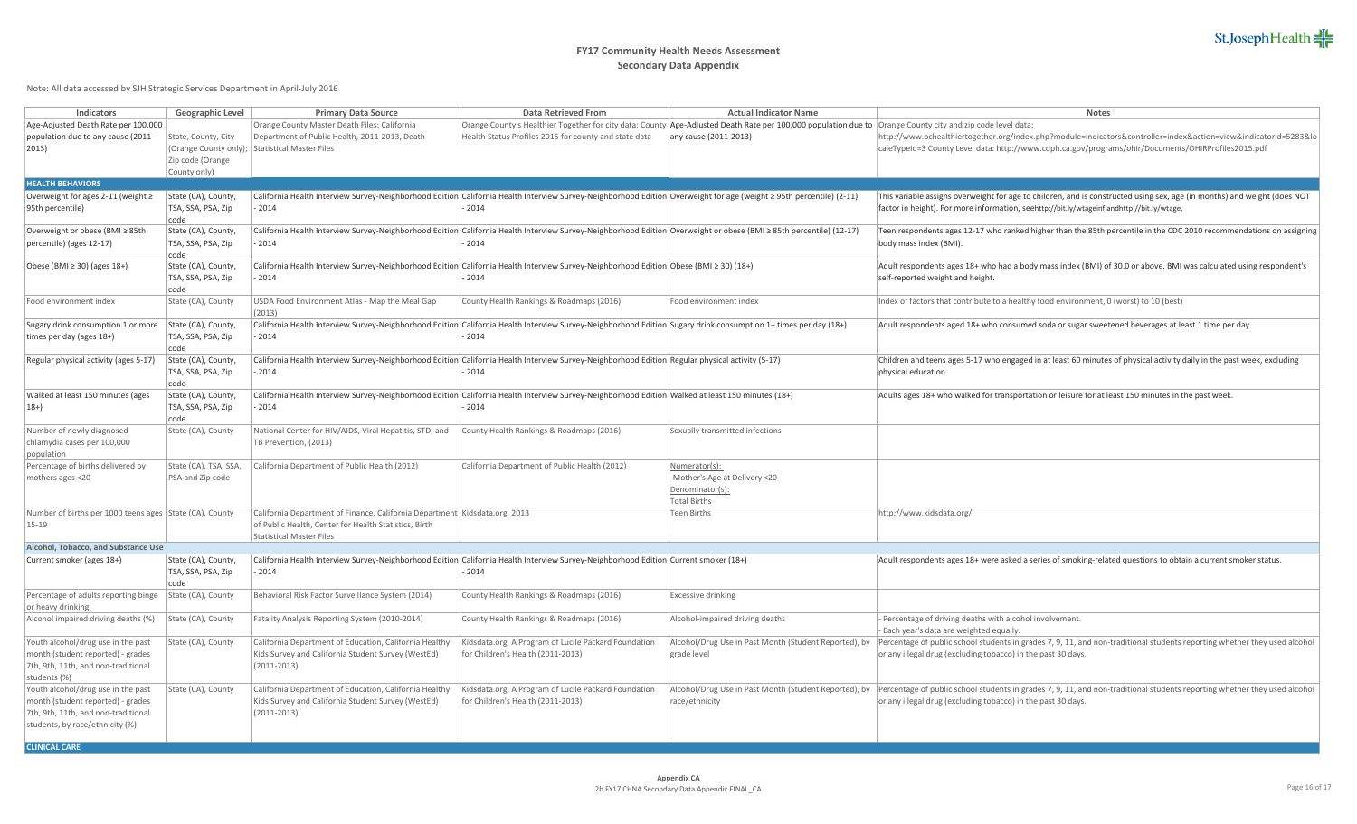

| Indicators                                                                                                                                        | Geographic Level                                        | <b>Primary Data Source</b>                                                                                                                                               | <b>Data Retrieved From</b>                                                                                                                                                   | <b>Actual Indicator Name</b>                                                                                                                                                        | <b>Notes</b>                                                                                                                                                                                                                                    |
|---------------------------------------------------------------------------------------------------------------------------------------------------|---------------------------------------------------------|--------------------------------------------------------------------------------------------------------------------------------------------------------------------------|------------------------------------------------------------------------------------------------------------------------------------------------------------------------------|-------------------------------------------------------------------------------------------------------------------------------------------------------------------------------------|-------------------------------------------------------------------------------------------------------------------------------------------------------------------------------------------------------------------------------------------------|
| Age-Adjusted Death Rate per 100,000<br>population due to any cause (2011-<br>$ 2013\rangle$                                                       | State, County, City<br>Zip code (Orange<br>County only) | Orange County Master Death Files; California<br>Department of Public Health, 2011-2013, Death<br>(Orange County only); Statistical Master Files                          | Health Status Profiles 2015 for county and state data                                                                                                                        | Orange County's Healthier Together for city data; County Age-Adjusted Death Rate per 100,000 population due to Orange County city and zip code level data:<br>any cause (2011-2013) | http://www.ochealthiertogether.org/index.php?module=indicators&controller=index&action=view&indicatorId=5283&lo<br>caleTypeId=3 County Level data: http://www.cdph.ca.gov/programs/ohir/Documents/OHIRProfiles2015.pdf                          |
| <b>HEALTH BEHAVIORS</b>                                                                                                                           |                                                         |                                                                                                                                                                          |                                                                                                                                                                              |                                                                                                                                                                                     |                                                                                                                                                                                                                                                 |
| Overweight for ages 2-11 (weight ≥<br>95th percentile)                                                                                            | State (CA), County,<br>TSA, SSA, PSA, Zip<br>code       | 2014                                                                                                                                                                     | California Health Interview Survey-Neighborhood Edition California Health Interview Survey-Neighborhood Edition Overweight for age (weight ≥ 95th percentile) (2-11)<br>2014 |                                                                                                                                                                                     | This variable assigns overweight for age to children, and is constructed using sex, age (in months) and weight (does NOT<br>factor in height). For more information, seehttp://bit.ly/wtageinf andhttp://bit.ly/wtage.                          |
| Overweight or obese (BMI ≥ 85th<br>percentile) (ages 12-17)                                                                                       | State (CA), County,<br>TSA, SSA, PSA, Zip<br>code       | 2014                                                                                                                                                                     | California Health Interview Survey-Neighborhood Edition California Health Interview Survey-Neighborhood Edition Overweight or obese (BMI ≥ 85th percentile) (12-17)<br>2014  |                                                                                                                                                                                     | Teen respondents ages 12-17 who ranked higher than the 85th percentile in the CDC 2010 recommendations on assigning<br>body mass index (BMI).                                                                                                   |
| Obese (BMI $\geq$ 30) (ages 18+)                                                                                                                  | State (CA), County,<br>TSA, SSA, PSA, Zip<br>code       | 2014                                                                                                                                                                     | California Health Interview Survey-Neighborhood Edition California Health Interview Survey-Neighborhood Edition Obese (BMI ≥ 30) (18+)<br>2014                               |                                                                                                                                                                                     | Adult respondents ages 18+ who had a body mass index (BMI) of 30.0 or above. BMI was calculated using respondent's<br>self-reported weight and height.                                                                                          |
| Food environment index                                                                                                                            | State (CA), County                                      | USDA Food Environment Atlas - Map the Meal Gap<br>(2013)                                                                                                                 | County Health Rankings & Roadmaps (2016)                                                                                                                                     | Food environment index                                                                                                                                                              | Index of factors that contribute to a healthy food environment, 0 (worst) to 10 (best)                                                                                                                                                          |
| Sugary drink consumption 1 or more<br>times per day (ages 18+)                                                                                    | State (CA), County,<br>TSA, SSA, PSA, Zip<br>code       | 2014                                                                                                                                                                     | California Health Interview Survey-Neighborhood Edition California Health Interview Survey-Neighborhood Edition Sugary drink consumption 1+ times per day (18+)<br>2014      |                                                                                                                                                                                     | Adult respondents aged 18+ who consumed soda or sugar sweetened beverages at least 1 time per day.                                                                                                                                              |
| Regular physical activity (ages 5-17)                                                                                                             | State (CA), County,<br>TSA, SSA, PSA, Zip<br>code       | 2014                                                                                                                                                                     | California Health Interview Survey-Neighborhood Edition California Health Interview Survey-Neighborhood Edition Regular physical activity (5-17)<br>2014                     |                                                                                                                                                                                     | Children and teens ages 5-17 who engaged in at least 60 minutes of physical activity daily in the past week, excluding<br>physical education.                                                                                                   |
| Walked at least 150 minutes (ages<br>$18+$                                                                                                        | State (CA), County,<br>TSA, SSA, PSA, Zip<br>code       | 2014                                                                                                                                                                     | California Health Interview Survey-Neighborhood Edition California Health Interview Survey-Neighborhood Edition Walked at least 150 minutes (18+)<br>2014                    |                                                                                                                                                                                     | Adults ages 18+ who walked for transportation or leisure for at least 150 minutes in the past week.                                                                                                                                             |
| Number of newly diagnosed<br>chlamydia cases per 100,000<br>population                                                                            | State (CA), County                                      | National Center for HIV/AIDS, Viral Hepatitis, STD, and<br>TB Prevention, (2013)                                                                                         | County Health Rankings & Roadmaps (2016)                                                                                                                                     | Sexually transmitted infections                                                                                                                                                     |                                                                                                                                                                                                                                                 |
| Percentage of births delivered by<br>mothers ages <20                                                                                             | State (CA), TSA, SSA,<br>PSA and Zip code               | California Department of Public Health (2012)                                                                                                                            | California Department of Public Health (2012)                                                                                                                                | Numerator(s):<br>-Mother's Age at Delivery <20<br>Denominator(s):<br><b>Total Births</b>                                                                                            |                                                                                                                                                                                                                                                 |
| Number of births per 1000 teens ages State (CA), County<br>15-19                                                                                  |                                                         | California Department of Finance, California Department   Kidsdata.org, 2013<br>of Public Health, Center for Health Statistics, Birth<br><b>Statistical Master Files</b> |                                                                                                                                                                              | Teen Births                                                                                                                                                                         | http://www.kidsdata.org/                                                                                                                                                                                                                        |
| Alcohol, Tobacco, and Substance Use                                                                                                               |                                                         |                                                                                                                                                                          |                                                                                                                                                                              |                                                                                                                                                                                     |                                                                                                                                                                                                                                                 |
| Current smoker (ages 18+)                                                                                                                         | State (CA), County,<br>TSA, SSA, PSA, Zip<br>code       | 2014 -                                                                                                                                                                   | California Health Interview Survey-Neighborhood Edition California Health Interview Survey-Neighborhood Edition Current smoker (18+)<br>$-2014$                              |                                                                                                                                                                                     | Adult respondents ages 18+ were asked a series of smoking-related questions to obtain a current smoker status.                                                                                                                                  |
| Percentage of adults reporting binge<br>or heavy drinking                                                                                         | State (CA), County                                      | Behavioral Risk Factor Surveillance System (2014)                                                                                                                        | County Health Rankings & Roadmaps (2016)                                                                                                                                     | <b>Excessive drinking</b>                                                                                                                                                           |                                                                                                                                                                                                                                                 |
| Alcohol impaired driving deaths (%)                                                                                                               | State (CA), County                                      | Fatality Analysis Reporting System (2010-2014)                                                                                                                           | County Health Rankings & Roadmaps (2016)                                                                                                                                     | Alcohol-impaired driving deaths                                                                                                                                                     | - Percentage of driving deaths with alcohol involvement.<br>Each year's data are weighted equally.                                                                                                                                              |
| Youth alcohol/drug use in the past<br>month (student reported) - grades<br>7th, 9th, 11th, and non-traditional<br>students (%)                    | State (CA), County                                      | California Department of Education, California Healthy<br>Kids Survey and California Student Survey (WestEd)<br>$(2011 - 2013)$                                          | Kidsdata.org, A Program of Lucile Packard Foundation<br>for Children's Health (2011-2013)                                                                                    | Alcohol/Drug Use in Past Month (Student Reported), by<br>grade level                                                                                                                | Percentage of public school students in grades 7, 9, 11, and non-traditional students reporting whether they used alcohol<br>or any illegal drug (excluding tobacco) in the past 30 days.                                                       |
| Youth alcohol/drug use in the past<br>month (student reported) - grades<br>7th, 9th, 11th, and non-traditional<br>students, by race/ethnicity (%) | State (CA), County                                      | California Department of Education, California Healthy<br>Kids Survey and California Student Survey (WestEd)<br>$(2011 - 2013)$                                          | Kidsdata.org, A Program of Lucile Packard Foundation<br>for Children's Health (2011-2013)                                                                                    | race/ethnicity                                                                                                                                                                      | Alcohol/Drug Use in Past Month (Student Reported), by Percentage of public school students in grades 7, 9, 11, and non-traditional students reporting whether they used alcohol<br>or any illegal drug (excluding tobacco) in the past 30 days. |
| <b>CLINICAL CARE</b>                                                                                                                              |                                                         |                                                                                                                                                                          |                                                                                                                                                                              |                                                                                                                                                                                     |                                                                                                                                                                                                                                                 |